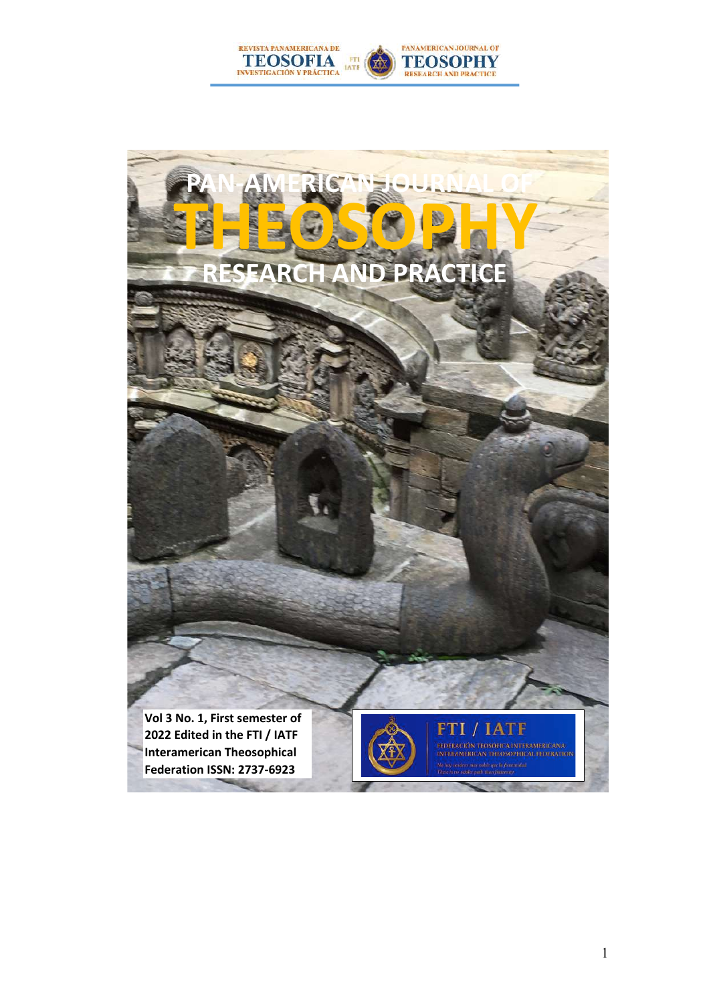

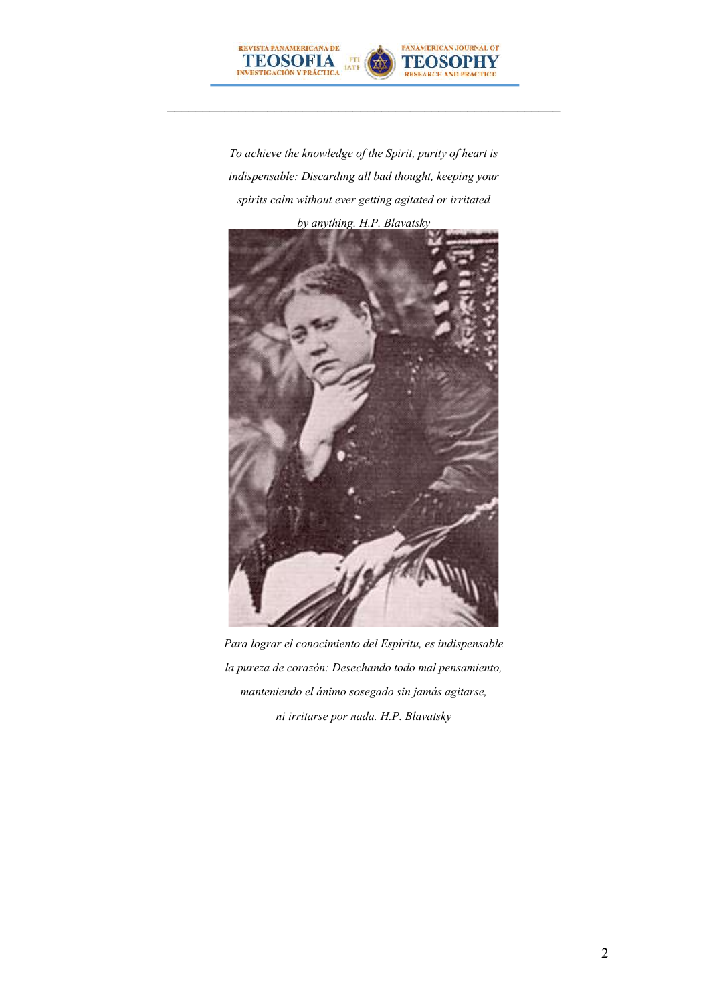

*To achieve the knowledge of the Spirit, purity of heart is indispensable: Discarding all bad thought, keeping your spirits calm without ever getting agitated or irritated*



*Para lograr el conocimiento del Espíritu, es indispensable la pureza de corazón: Desechando todo mal pensamiento, manteniendo el ánimo sosegado sin jamás agitarse, ni irritarse por nada. H.P. Blavatsky*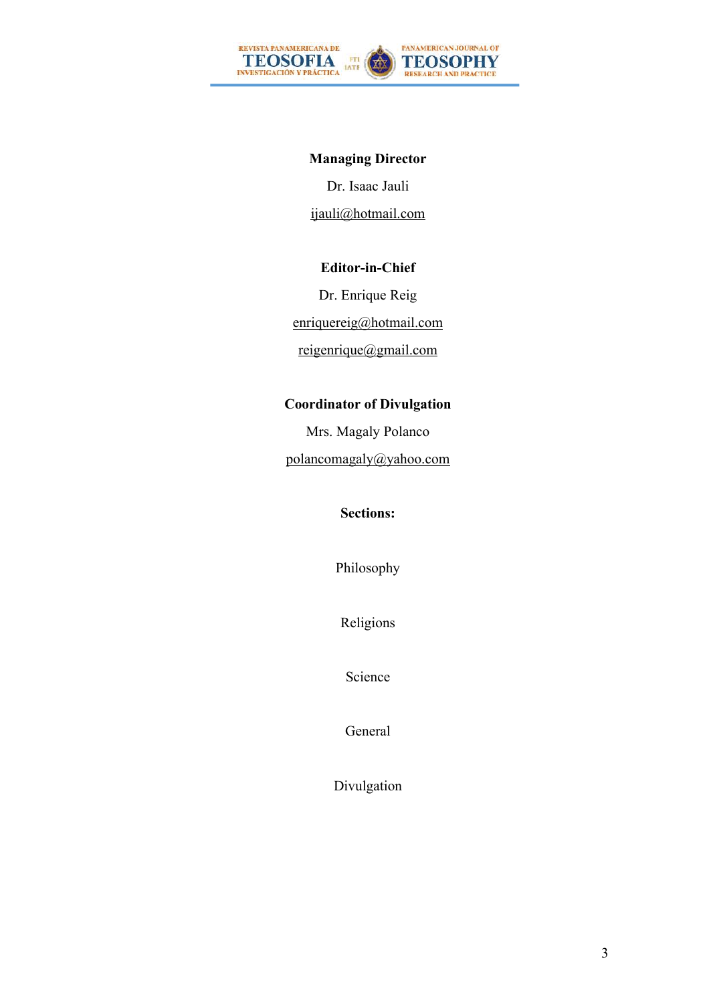

### **Managing Director**

Dr. Isaac Jauli ijauli@hotmail.com

#### **Editor-in-Chief**

Dr. Enrique Reig enriquereig@hotmail.com reigenrique@gmail.com

#### **Coordinator of Divulgation**

Mrs. Magaly Polanco polancomagaly@yahoo.com

#### **Sections:**

Philosophy

Religions

Science

General

Divulgation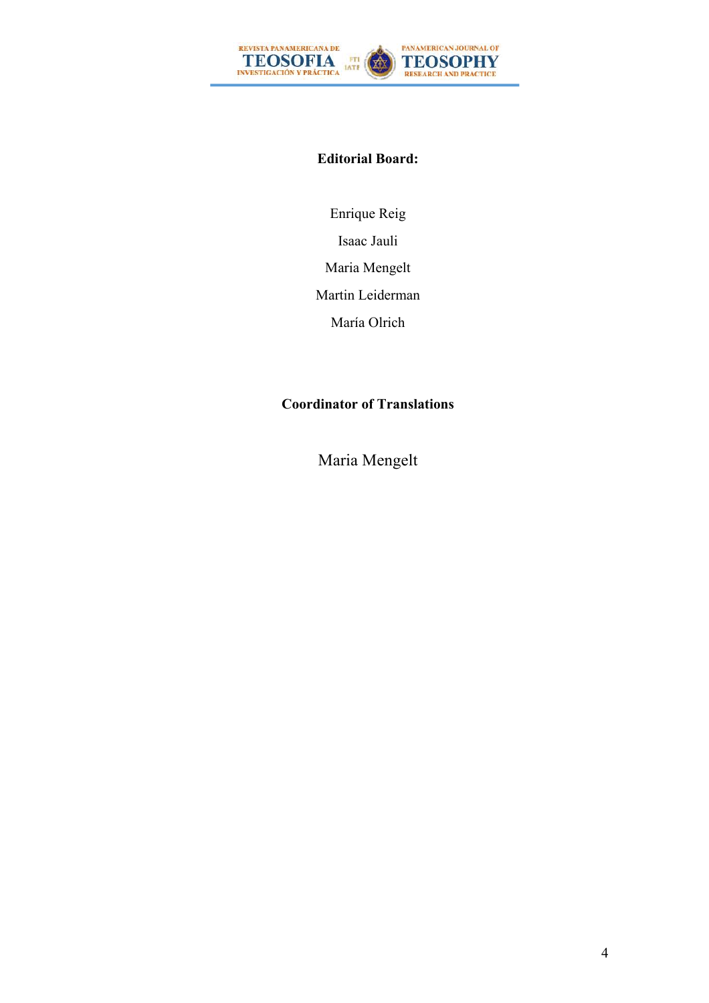

#### **Editorial Board:**

Enrique Reig Isaac Jauli Maria Mengelt Martin Leiderman María Olrich

### **Coordinator of Translations**

Maria Mengelt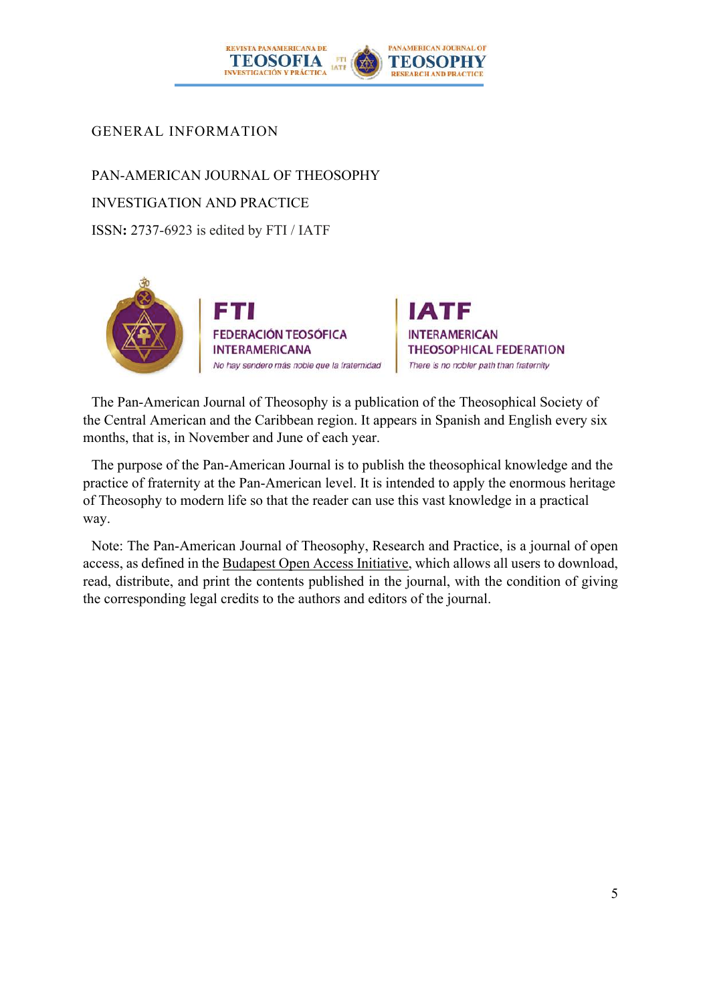

### GENERAL INFORMATION

PAN-AMERICAN JOURNAL OF THEOSOPHY INVESTIGATION AND PRACTICE ISSN**:** 2737-6923 is edited by FTI / IATF



IATF **INTERAMERICAN THEOSOPHICAL FEDERATION** There is no nobler path than fraternity

The Pan-American Journal of Theosophy is a publication of the Theosophical Society of the Central American and the Caribbean region. It appears in Spanish and English every six months, that is, in November and June of each year.

The purpose of the Pan-American Journal is to publish the theosophical knowledge and the practice of fraternity at the Pan-American level. It is intended to apply the enormous heritage of Theosophy to modern life so that the reader can use this vast knowledge in a practical way.

Note: The Pan-American Journal of Theosophy, Research and Practice, is a journal of open access, as defined in the Budapest Open Access Initiative, which allows all users to download, read, distribute, and print the contents published in the journal, with the condition of giving the corresponding legal credits to the authors and editors of the journal.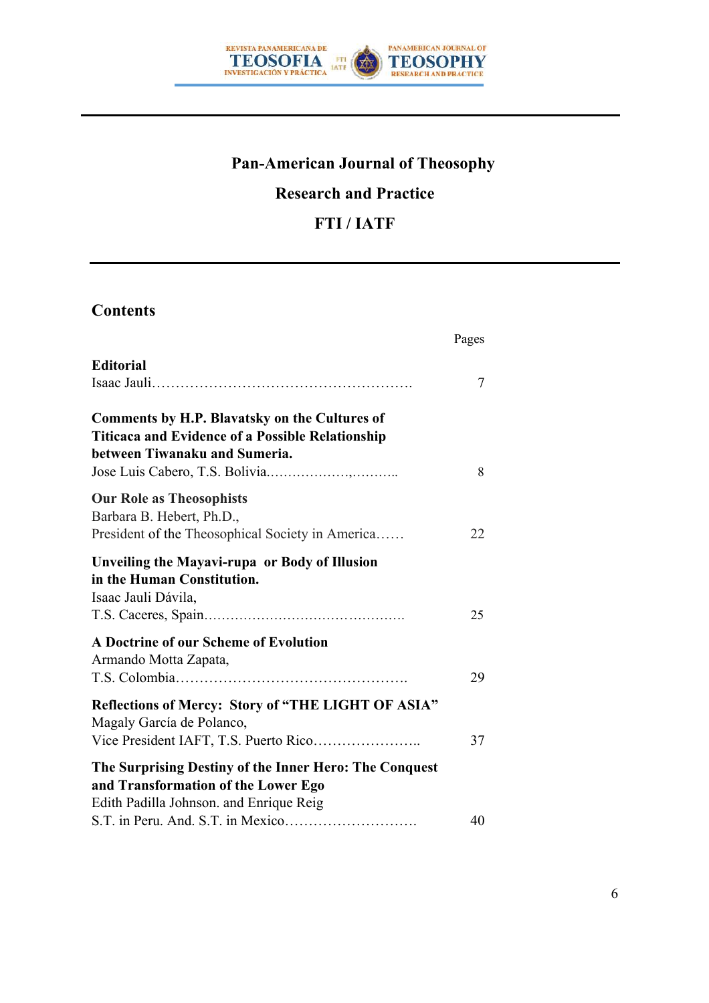

# **Pan-American Journal of Theosophy**

# **Research and Practice**

## **FTI / IATF**

## **Contents**

|                                                                                                                                           | Pages |  |
|-------------------------------------------------------------------------------------------------------------------------------------------|-------|--|
| <b>Editorial</b>                                                                                                                          | 7     |  |
| Comments by H.P. Blavatsky on the Cultures of<br><b>Titicaca and Evidence of a Possible Relationship</b><br>between Tiwanaku and Sumeria. | 8     |  |
| <b>Our Role as Theosophists</b><br>Barbara B. Hebert, Ph.D.,<br>President of the Theosophical Society in America                          | 22    |  |
| Unveiling the Mayavi-rupa or Body of Illusion<br>in the Human Constitution.<br>Isaac Jauli Dávila,                                        | 25    |  |
| A Doctrine of our Scheme of Evolution<br>Armando Motta Zapata,                                                                            | 29    |  |
| Reflections of Mercy: Story of "THE LIGHT OF ASIA"<br>Magaly García de Polanco,<br>Vice President IAFT, T.S. Puerto Rico                  | 37    |  |
| The Surprising Destiny of the Inner Hero: The Conquest<br>and Transformation of the Lower Ego<br>Edith Padilla Johnson. and Enrique Reig  | 40    |  |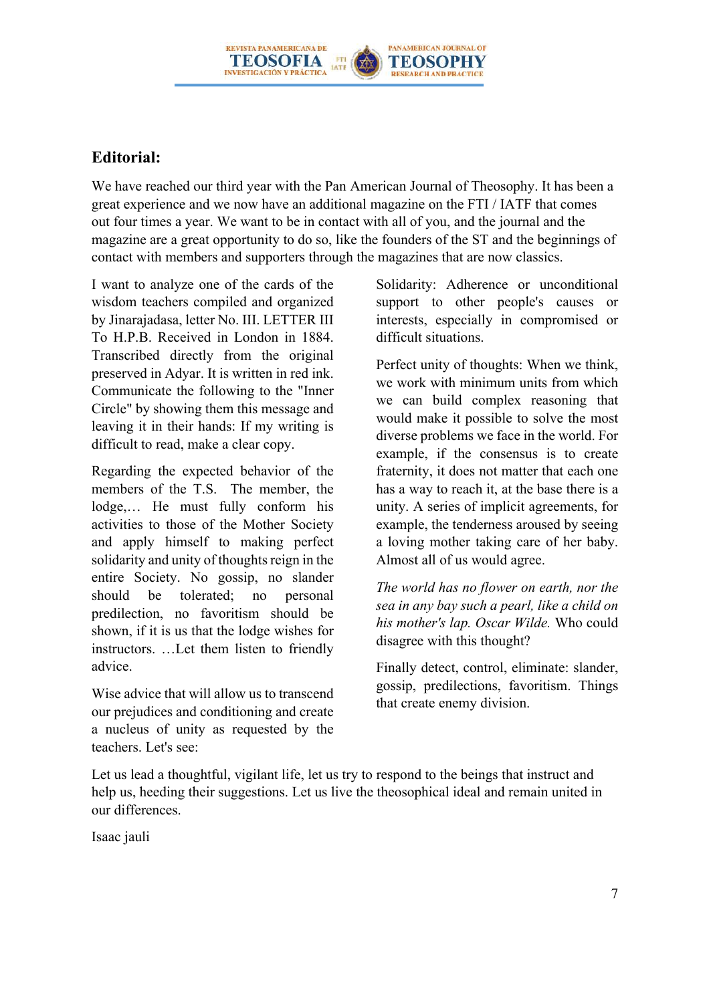

### **Editorial:**

We have reached our third year with the Pan American Journal of Theosophy. It has been a great experience and we now have an additional magazine on the FTI / IATF that comes out four times a year. We want to be in contact with all of you, and the journal and the magazine are a great opportunity to do so, like the founders of the ST and the beginnings of contact with members and supporters through the magazines that are now classics.

I want to analyze one of the cards of the wisdom teachers compiled and organized by Jinarajadasa, letter No. III. LETTER III To H.P.B. Received in London in 1884. Transcribed directly from the original preserved in Adyar. It is written in red ink. Communicate the following to the "Inner Circle" by showing them this message and leaving it in their hands: If my writing is difficult to read, make a clear copy.

Regarding the expected behavior of the members of the T.S. The member, the lodge,… He must fully conform his activities to those of the Mother Society and apply himself to making perfect solidarity and unity of thoughts reign in the entire Society. No gossip, no slander should be tolerated; no personal predilection, no favoritism should be shown, if it is us that the lodge wishes for instructors. …Let them listen to friendly advice.

Wise advice that will allow us to transcend our prejudices and conditioning and create a nucleus of unity as requested by the teachers. Let's see:

Solidarity: Adherence or unconditional support to other people's causes or interests, especially in compromised or difficult situations.

Perfect unity of thoughts: When we think, we work with minimum units from which we can build complex reasoning that would make it possible to solve the most diverse problems we face in the world. For example, if the consensus is to create fraternity, it does not matter that each one has a way to reach it, at the base there is a unity. A series of implicit agreements, for example, the tenderness aroused by seeing a loving mother taking care of her baby. Almost all of us would agree.

*The world has no flower on earth, nor the sea in any bay such a pearl, like a child on his mother's lap. Oscar Wilde.* Who could disagree with this thought?

Finally detect, control, eliminate: slander, gossip, predilections, favoritism. Things that create enemy division.

Let us lead a thoughtful, vigilant life, let us try to respond to the beings that instruct and help us, heeding their suggestions. Let us live the theosophical ideal and remain united in our differences.

Isaac jauli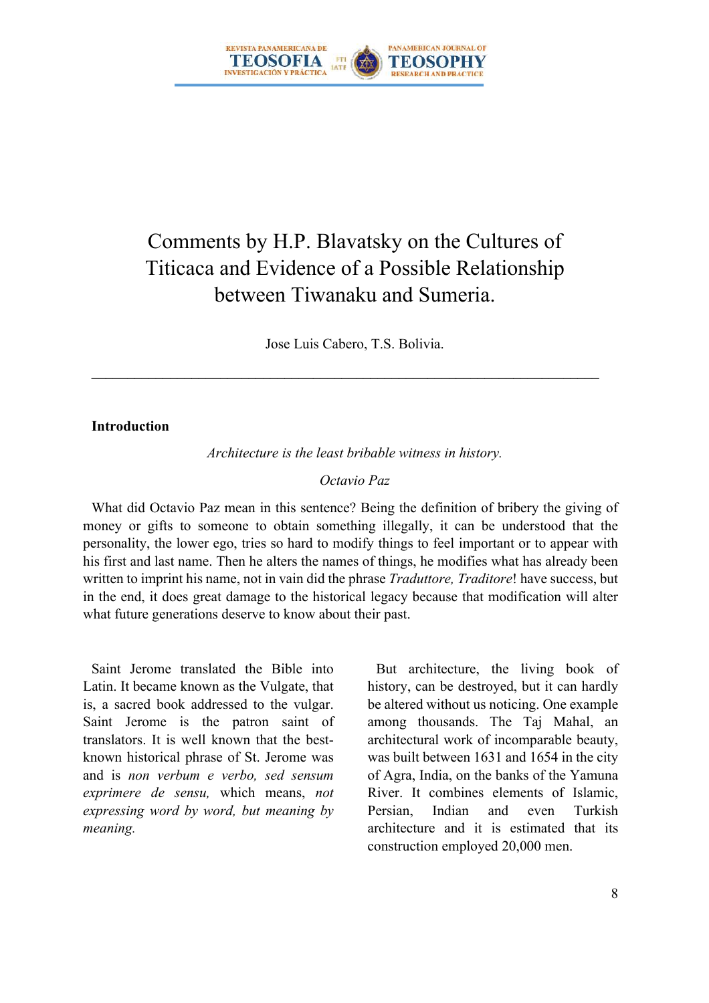

# Comments by H.P. Blavatsky on the Cultures of Titicaca and Evidence of a Possible Relationship between Tiwanaku and Sumeria.

Jose Luis Cabero, T.S. Bolivia.

 $\mathcal{L}_\mathcal{L} = \{ \mathcal{L}_\mathcal{L} = \{ \mathcal{L}_\mathcal{L} = \{ \mathcal{L}_\mathcal{L} = \{ \mathcal{L}_\mathcal{L} = \{ \mathcal{L}_\mathcal{L} = \{ \mathcal{L}_\mathcal{L} = \{ \mathcal{L}_\mathcal{L} = \{ \mathcal{L}_\mathcal{L} = \{ \mathcal{L}_\mathcal{L} = \{ \mathcal{L}_\mathcal{L} = \{ \mathcal{L}_\mathcal{L} = \{ \mathcal{L}_\mathcal{L} = \{ \mathcal{L}_\mathcal{L} = \{ \mathcal{L}_\mathcal{$ 

#### **Introduction**

*Architecture is the least bribable witness in history.*

#### *Octavio Paz*

What did Octavio Paz mean in this sentence? Being the definition of bribery the giving of money or gifts to someone to obtain something illegally, it can be understood that the personality, the lower ego, tries so hard to modify things to feel important or to appear with his first and last name. Then he alters the names of things, he modifies what has already been written to imprint his name, not in vain did the phrase *Traduttore, Traditore*! have success, but in the end, it does great damage to the historical legacy because that modification will alter what future generations deserve to know about their past.

Saint Jerome translated the Bible into Latin. It became known as the Vulgate, that is, a sacred book addressed to the vulgar. Saint Jerome is the patron saint of translators. It is well known that the bestknown historical phrase of St. Jerome was and is *non verbum e verbo, sed sensum exprimere de sensu,* which means, *not expressing word by word, but meaning by meaning.*

But architecture, the living book of history, can be destroyed, but it can hardly be altered without us noticing. One example among thousands. The Taj Mahal, an architectural work of incomparable beauty, was built between 1631 and 1654 in the city of Agra, India, on the banks of the Yamuna River. It combines elements of Islamic, Persian, Indian and even Turkish architecture and it is estimated that its construction employed 20,000 men.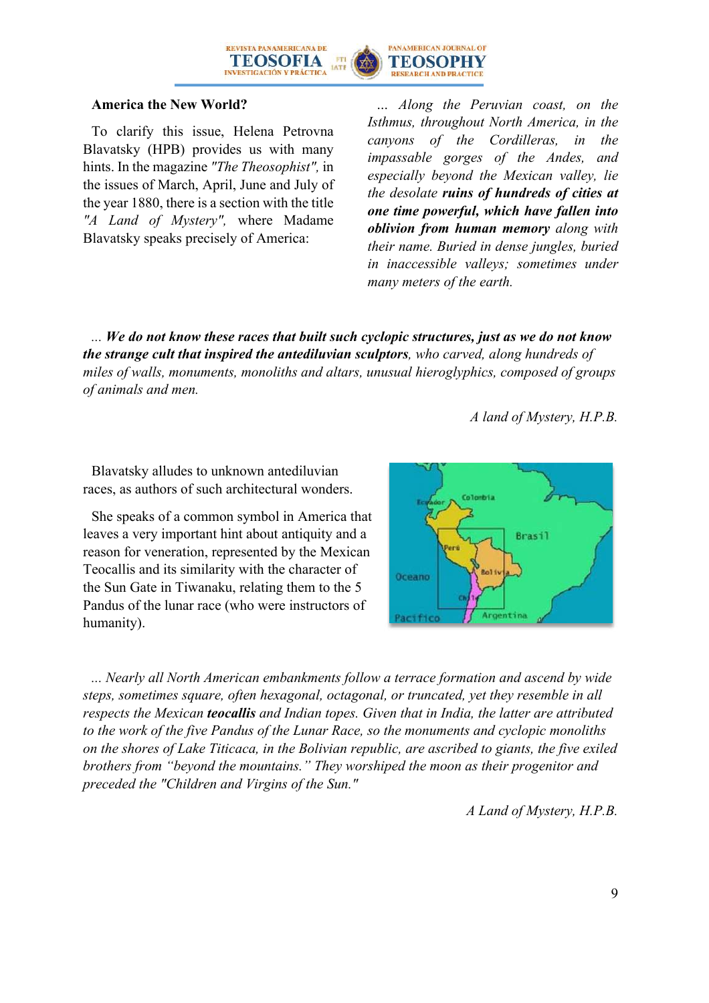

#### **America the New World?**

To clarify this issue, Helena Petrovna Blavatsky (HPB) provides us with many hints. In the magazine *"The Theosophist",* in the issues of March, April, June and July of the year 1880, there is a section with the title *"A Land of Mystery",* where Madame Blavatsky speaks precisely of America:

*… Along the Peruvian coast, on the Isthmus, throughout North America, in the canyons of the Cordilleras, in the impassable gorges of the Andes, and especially beyond the Mexican valley, lie the desolate ruins of hundreds of cities at one time powerful, which have fallen into oblivion from human memory along with their name. Buried in dense jungles, buried in inaccessible valleys; sometimes under many meters of the earth.*

*... We do not know these races that built such cyclopic structures, just as we do not know the strange cult that inspired the antediluvian sculptors, who carved, along hundreds of miles of walls, monuments, monoliths and altars, unusual hieroglyphics, composed of groups of animals and men.*

*A land of Mystery, H.P.B.* 

Blavatsky alludes to unknown antediluvian races, as authors of such architectural wonders.

She speaks of a common symbol in America that leaves a very important hint about antiquity and a reason for veneration, represented by the Mexican Teocallis and its similarity with the character of the Sun Gate in Tiwanaku, relating them to the 5 Pandus of the lunar race (who were instructors of humanity).



*... Nearly all North American embankments follow a terrace formation and ascend by wide steps, sometimes square, often hexagonal, octagonal, or truncated, yet they resemble in all respects the Mexican teocallis and Indian topes. Given that in India, the latter are attributed to the work of the five Pandus of the Lunar Race, so the monuments and cyclopic monoliths on the shores of Lake Titicaca, in the Bolivian republic, are ascribed to giants, the five exiled brothers from "beyond the mountains." They worshiped the moon as their progenitor and preceded the "Children and Virgins of the Sun."*

*A Land of Mystery, H.P.B.*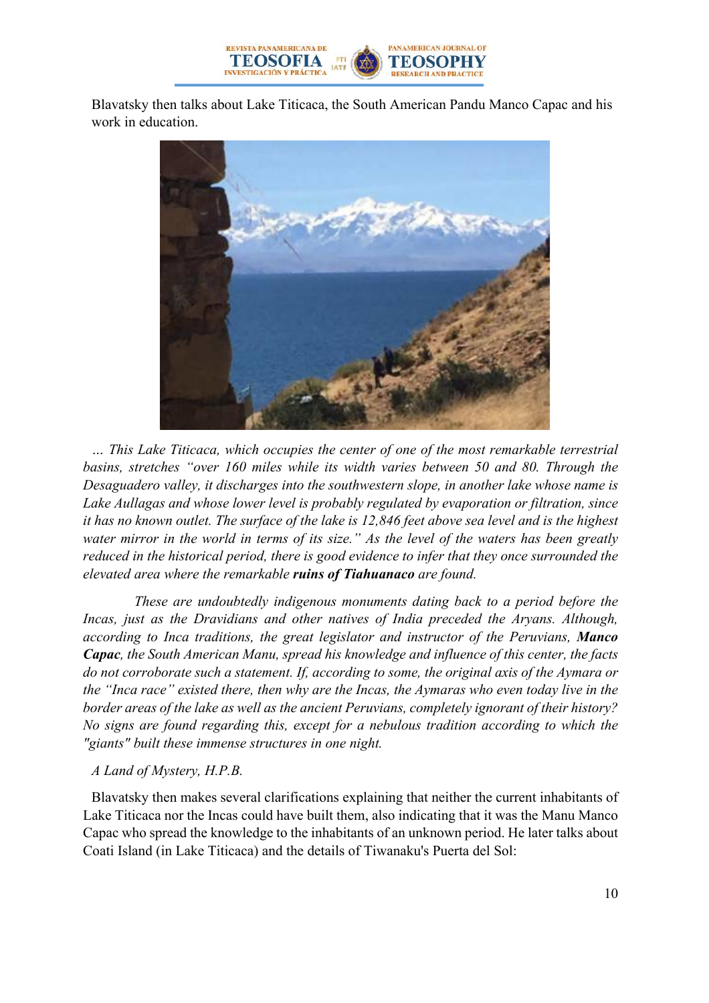

Blavatsky then talks about Lake Titicaca, the South American Pandu Manco Capac and his work in education.



*… This Lake Titicaca, which occupies the center of one of the most remarkable terrestrial basins, stretches "over 160 miles while its width varies between 50 and 80. Through the Desaguadero valley, it discharges into the southwestern slope, in another lake whose name is Lake Aullagas and whose lower level is probably regulated by evaporation or filtration, since it has no known outlet. The surface of the lake is 12,846 feet above sea level and is the highest water mirror in the world in terms of its size." As the level of the waters has been greatly reduced in the historical period, there is good evidence to infer that they once surrounded the elevated area where the remarkable ruins of Tiahuanaco are found.*

*These are undoubtedly indigenous monuments dating back to a period before the Incas, just as the Dravidians and other natives of India preceded the Aryans. Although, according to Inca traditions, the great legislator and instructor of the Peruvians, Manco Capac, the South American Manu, spread his knowledge and influence of this center, the facts do not corroborate such a statement. If, according to some, the original axis of the Aymara or the "Inca race" existed there, then why are the Incas, the Aymaras who even today live in the border areas of the lake as well as the ancient Peruvians, completely ignorant of their history? No signs are found regarding this, except for a nebulous tradition according to which the "giants" built these immense structures in one night.*

#### *A Land of Mystery, H.P.B.*

Blavatsky then makes several clarifications explaining that neither the current inhabitants of Lake Titicaca nor the Incas could have built them, also indicating that it was the Manu Manco Capac who spread the knowledge to the inhabitants of an unknown period. He later talks about Coati Island (in Lake Titicaca) and the details of Tiwanaku's Puerta del Sol: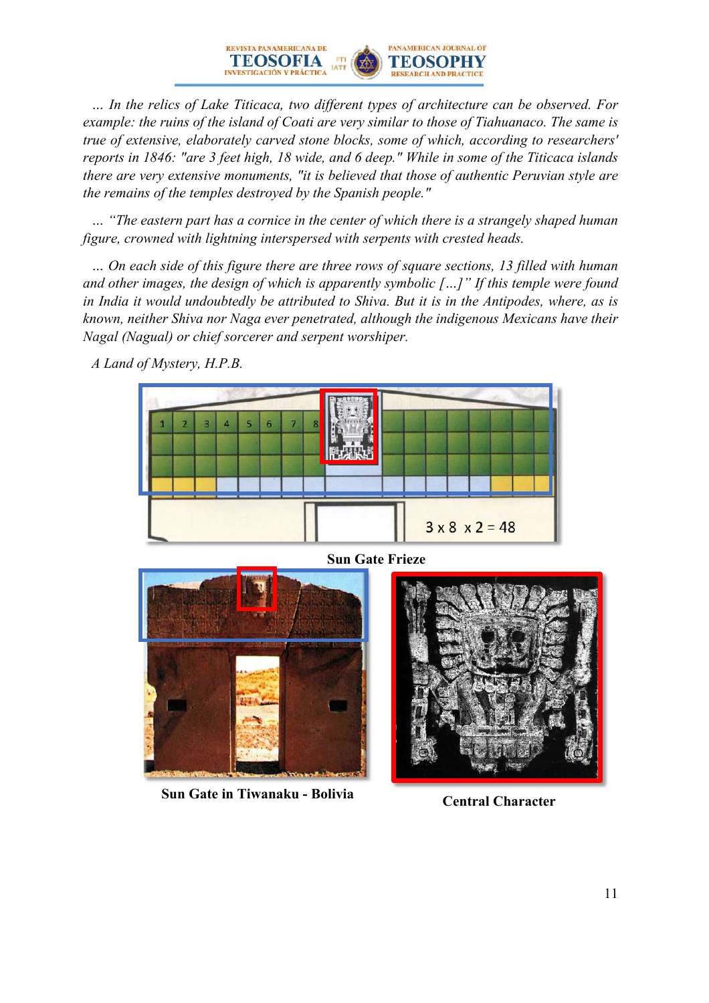*… In the relics of Lake Titicaca, two different types of architecture can be observed. For example: the ruins of the island of Coati are very similar to those of Tiahuanaco. The same is true of extensive, elaborately carved stone blocks, some of which, according to researchers' reports in 1846: "are 3 feet high, 18 wide, and 6 deep." While in some of the Titicaca islands there are very extensive monuments, "it is believed that those of authentic Peruvian style are the remains of the temples destroyed by the Spanish people."*

PANAMERICAN JOURNAL OF

TEOSOPHY

REVISTA PANAMERICANA DE

TEOSOFIA

**STICACIÓN V PRÁCTICA** 

*… "The eastern part has a cornice in the center of which there is a strangely shaped human figure, crowned with lightning interspersed with serpents with crested heads.*

*… On each side of this figure there are three rows of square sections, 13 filled with human and other images, the design of which is apparently symbolic […]" If this temple were found*  in India it would undoubtedly be attributed to Shiva. But it is in the Antipodes, where, as is *known, neither Shiva nor Naga ever penetrated, although the indigenous Mexicans have their Nagal (Nagual) or chief sorcerer and serpent worshiper.*

*A Land of Mystery, H.P.B.*





**Sun Gate in Tiwanaku - Bolivia Central Character**

**Sun Gate Frieze**

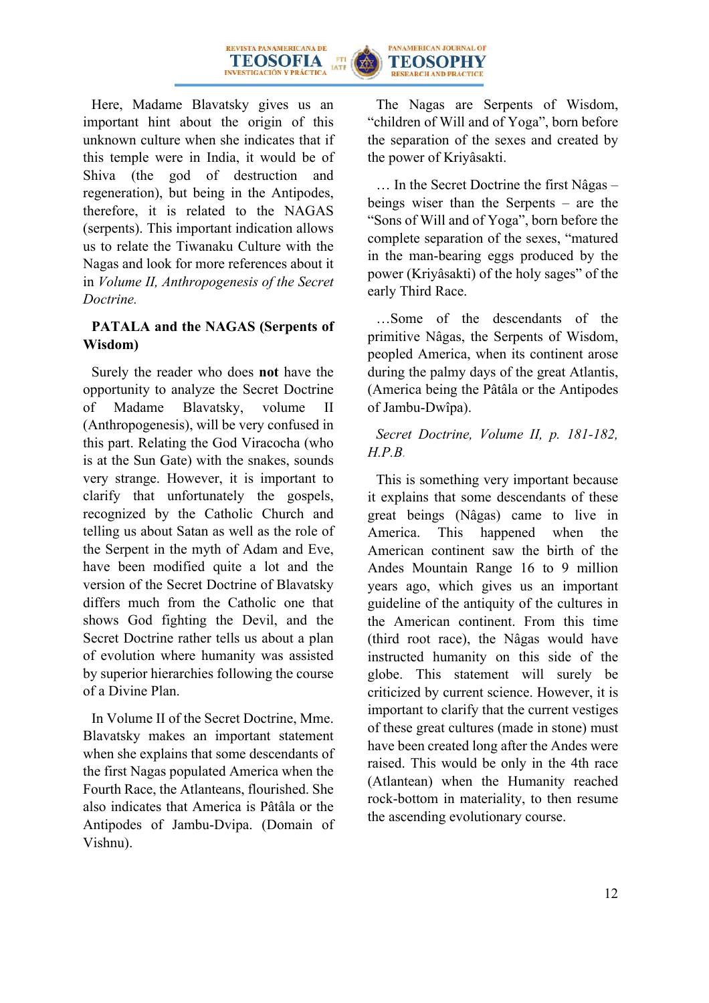



Here, Madame Blavatsky gives us an important hint about the origin of this unknown culture when she indicates that if this temple were in India, it would be of Shiva (the god of destruction and regeneration), but being in the Antipodes, therefore, it is related to the NAGAS (serpents). This important indication allows us to relate the Tiwanaku Culture with the Nagas and look for more references about it in *Volume II, Anthropogenesis of the Secret Doctrine.*

### **PATALA and the NAGAS (Serpents of Wisdom)**

Surely the reader who does **not** have the opportunity to analyze the Secret Doctrine of Madame Blavatsky, volume II (Anthropogenesis), will be very confused in this part. Relating the God Viracocha (who is at the Sun Gate) with the snakes, sounds very strange. However, it is important to clarify that unfortunately the gospels, recognized by the Catholic Church and telling us about Satan as well as the role of the Serpent in the myth of Adam and Eve, have been modified quite a lot and the version of the Secret Doctrine of Blavatsky differs much from the Catholic one that shows God fighting the Devil, and the Secret Doctrine rather tells us about a plan of evolution where humanity was assisted by superior hierarchies following the course of a Divine Plan.

In Volume II of the Secret Doctrine, Mme. Blavatsky makes an important statement when she explains that some descendants of the first Nagas populated America when the Fourth Race, the Atlanteans, flourished. She also indicates that America is Pâtâla or the Antipodes of Jambu-Dvipa. (Domain of Vishnu).

The Nagas are Serpents of Wisdom, "children of Will and of Yoga", born before the separation of the sexes and created by the power of Kriyâsakti.

… In the Secret Doctrine the first Nâgas – beings wiser than the Serpents – are the "Sons of Will and of Yoga", born before the complete separation of the sexes, "matured in the man-bearing eggs produced by the power (Kriyâsakti) of the holy sages" of the early Third Race.

…Some of the descendants of the primitive Nâgas, the Serpents of Wisdom, peopled America, when its continent arose during the palmy days of the great Atlantis, (America being the Pâtâla or the Antipodes of Jambu-Dwîpa).

### *Secret Doctrine, Volume II, p. 181-182, H.P.B.*

This is something very important because it explains that some descendants of these great beings (Nâgas) came to live in America. This happened when the American continent saw the birth of the Andes Mountain Range 16 to 9 million years ago, which gives us an important guideline of the antiquity of the cultures in the American continent. From this time (third root race), the Nâgas would have instructed humanity on this side of the globe. This statement will surely be criticized by current science. However, it is important to clarify that the current vestiges of these great cultures (made in stone) must have been created long after the Andes were raised. This would be only in the 4th race (Atlantean) when the Humanity reached rock-bottom in materiality, to then resume the ascending evolutionary course.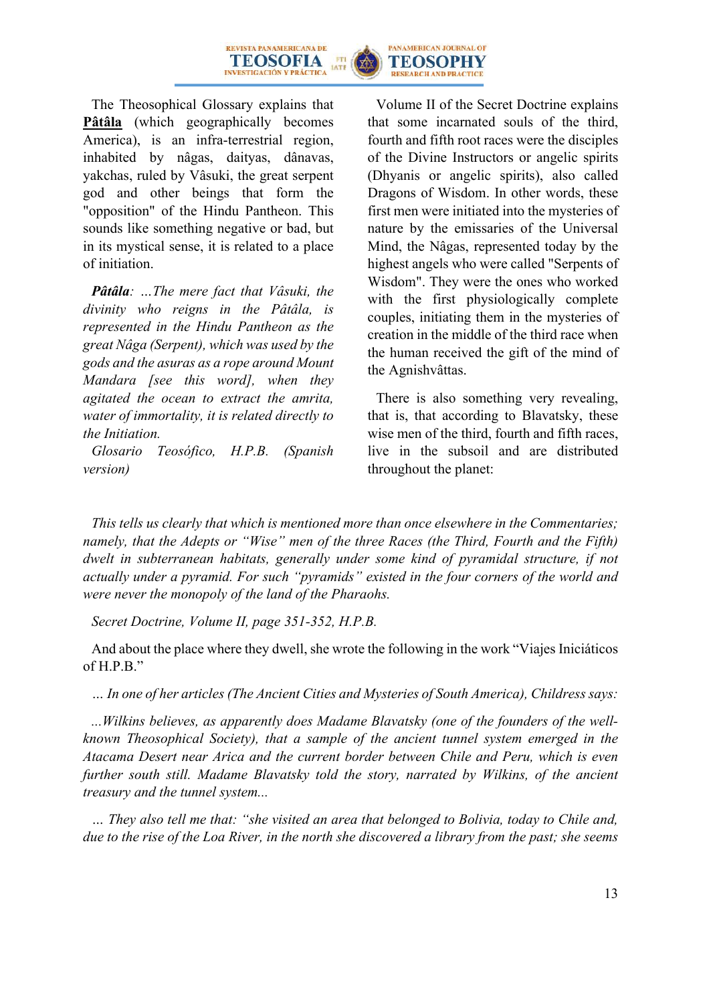



The Theosophical Glossary explains that **Pâtâla** (which geographically becomes America), is an infra-terrestrial region, inhabited by nâgas, daityas, dânavas, yakchas, ruled by Vâsuki, the great serpent god and other beings that form the "opposition" of the Hindu Pantheon. This sounds like something negative or bad, but in its mystical sense, it is related to a place of initiation.

*Pâtâla: …The mere fact that Vâsuki, the divinity who reigns in the Pâtâla, is represented in the Hindu Pantheon as the great Nâga (Serpent), which was used by the gods and the asuras as a rope around Mount Mandara [see this word], when they agitated the ocean to extract the amrita, water of immortality, it is related directly to the Initiation.*

*Glosario Teosófico, H.P.B. (Spanish version)*

Volume II of the Secret Doctrine explains that some incarnated souls of the third, fourth and fifth root races were the disciples of the Divine Instructors or angelic spirits (Dhyanis or angelic spirits), also called Dragons of Wisdom. In other words, these first men were initiated into the mysteries of nature by the emissaries of the Universal Mind, the Nâgas, represented today by the highest angels who were called "Serpents of Wisdom". They were the ones who worked with the first physiologically complete couples, initiating them in the mysteries of creation in the middle of the third race when the human received the gift of the mind of the Agnishvâttas.

There is also something very revealing, that is, that according to Blavatsky, these wise men of the third, fourth and fifth races, live in the subsoil and are distributed throughout the planet:

*This tells us clearly that which is mentioned more than once elsewhere in the Commentaries; namely, that the Adepts or "Wise" men of the three Races (the Third, Fourth and the Fifth) dwelt in subterranean habitats, generally under some kind of pyramidal structure, if not actually under a pyramid. For such "pyramids" existed in the four corners of the world and were never the monopoly of the land of the Pharaohs.*

*Secret Doctrine, Volume II, page 351-352, H.P.B.*

And about the place where they dwell, she wrote the following in the work "Viajes Iniciáticos of H.P.B."

*… In one of her articles (The Ancient Cities and Mysteries of South America), Childress says:*

*...Wilkins believes, as apparently does Madame Blavatsky (one of the founders of the wellknown Theosophical Society), that a sample of the ancient tunnel system emerged in the Atacama Desert near Arica and the current border between Chile and Peru, which is even further south still. Madame Blavatsky told the story, narrated by Wilkins, of the ancient treasury and the tunnel system...*

*… They also tell me that: "she visited an area that belonged to Bolivia, today to Chile and, due to the rise of the Loa River, in the north she discovered a library from the past; she seems*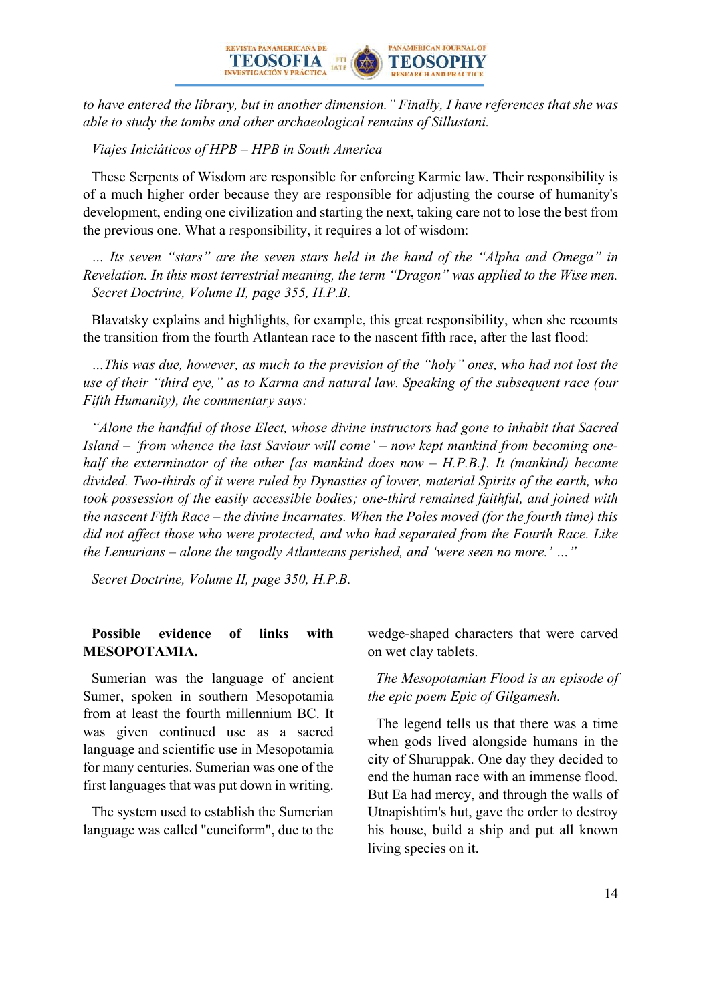

*to have entered the library, but in another dimension." Finally, I have references that she was able to study the tombs and other archaeological remains of Sillustani.*

*Viajes Iniciáticos of HPB – HPB in South America*

These Serpents of Wisdom are responsible for enforcing Karmic law. Their responsibility is of a much higher order because they are responsible for adjusting the course of humanity's development, ending one civilization and starting the next, taking care not to lose the best from the previous one. What a responsibility, it requires a lot of wisdom:

*… Its seven "stars" are the seven stars held in the hand of the "Alpha and Omega" in Revelation. In this most terrestrial meaning, the term "Dragon" was applied to the Wise men. Secret Doctrine, Volume II, page 355, H.P.B.*

Blavatsky explains and highlights, for example, this great responsibility, when she recounts the transition from the fourth Atlantean race to the nascent fifth race, after the last flood:

*…This was due, however, as much to the prevision of the "holy" ones, who had not lost the use of their "third eye," as to Karma and natural law. Speaking of the subsequent race (our Fifth Humanity), the commentary says:*

*"Alone the handful of those Elect, whose divine instructors had gone to inhabit that Sacred Island – 'from whence the last Saviour will come' – now kept mankind from becoming onehalf the exterminator of the other [as mankind does now – H.P.B.]. It (mankind) became divided. Two-thirds of it were ruled by Dynasties of lower, material Spirits of the earth, who took possession of the easily accessible bodies; one-third remained faithful, and joined with the nascent Fifth Race – the divine Incarnates. When the Poles moved (for the fourth time) this did not affect those who were protected, and who had separated from the Fourth Race. Like the Lemurians – alone the ungodly Atlanteans perished, and 'were seen no more.' …"*

*Secret Doctrine, Volume II, page 350, H.P.B.*

#### **Possible evidence of links with MESOPOTAMIA.**

Sumerian was the language of ancient Sumer, spoken in southern Mesopotamia from at least the fourth millennium BC. It was given continued use as a sacred language and scientific use in Mesopotamia for many centuries. Sumerian was one of the first languages that was put down in writing.

The system used to establish the Sumerian language was called "cuneiform", due to the wedge-shaped characters that were carved on wet clay tablets.

#### *The Mesopotamian Flood is an episode of the epic poem Epic of Gilgamesh.*

The legend tells us that there was a time when gods lived alongside humans in the city of Shuruppak. One day they decided to end the human race with an immense flood. But Ea had mercy, and through the walls of Utnapishtim's hut, gave the order to destroy his house, build a ship and put all known living species on it.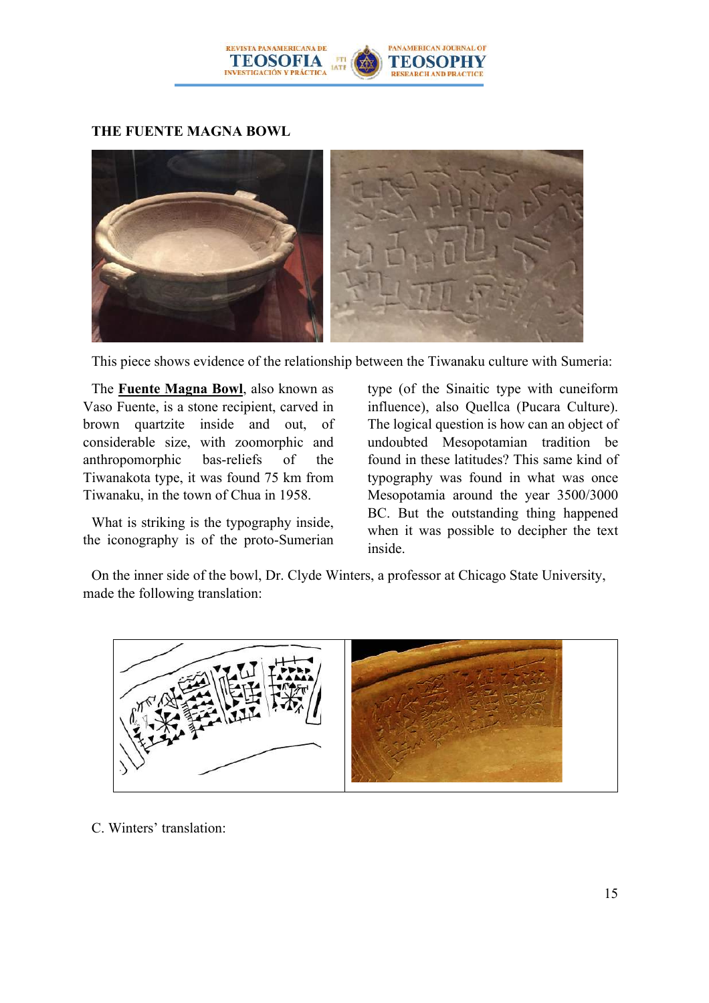

### **THE FUENTE MAGNA BOWL**



This piece shows evidence of the relationship between the Tiwanaku culture with Sumeria:

The **Fuente Magna Bowl**, also known as Vaso Fuente, is a stone recipient, carved in brown quartzite inside and out, of considerable size, with zoomorphic and anthropomorphic bas-reliefs of the Tiwanakota type, it was found 75 km from Tiwanaku, in the town of Chua in 1958.

What is striking is the typography inside, the iconography is of the proto-Sumerian type (of the Sinaitic type with cuneiform influence), also Quellca (Pucara Culture). The logical question is how can an object of undoubted Mesopotamian tradition be found in these latitudes? This same kind of typography was found in what was once Mesopotamia around the year 3500/3000 BC. But the outstanding thing happened when it was possible to decipher the text inside.

On the inner side of the bowl, Dr. Clyde Winters, a professor at Chicago State University, made the following translation:



C. Winters' translation: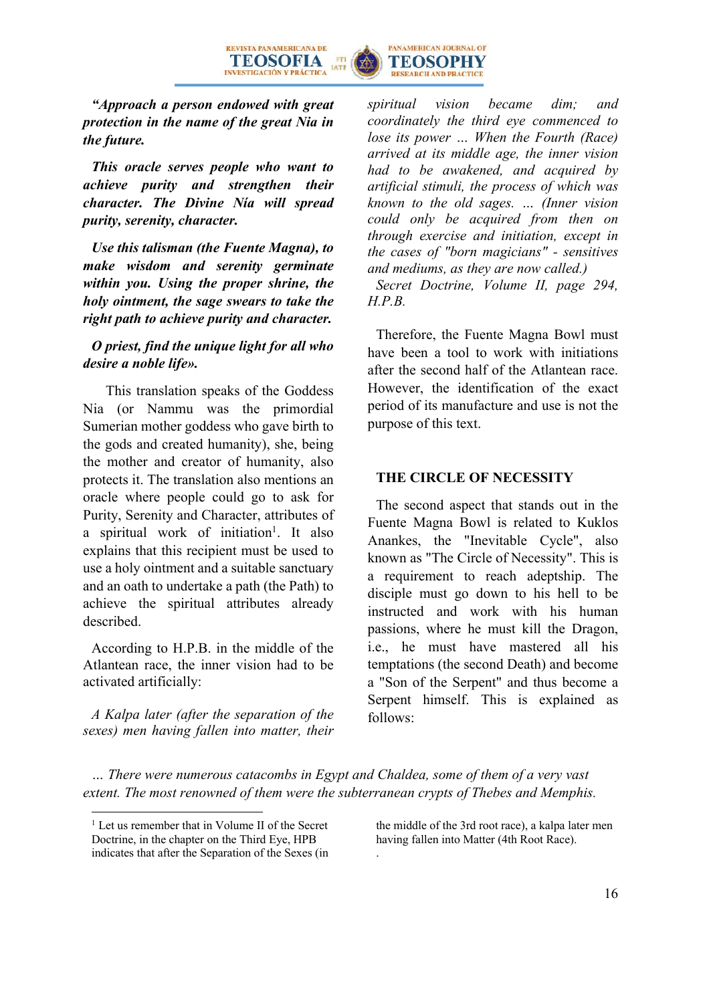



*"Approach a person endowed with great protection in the name of the great Nia in the future.* 

*This oracle serves people who want to achieve purity and strengthen their character. The Divine Nía will spread purity, serenity, character.*

*Use this talisman (the Fuente Magna), to make wisdom and serenity germinate within you. Using the proper shrine, the holy ointment, the sage swears to take the right path to achieve purity and character.* 

#### *O priest, find the unique light for all who desire a noble life».*

 This translation speaks of the Goddess Nia (or Nammu was the primordial Sumerian mother goddess who gave birth to the gods and created humanity), she, being the mother and creator of humanity, also protects it. The translation also mentions an oracle where people could go to ask for Purity, Serenity and Character, attributes of a spiritual work of initiation<sup>1</sup>. It also explains that this recipient must be used to use a holy ointment and a suitable sanctuary and an oath to undertake a path (the Path) to achieve the spiritual attributes already described.

According to H.P.B. in the middle of the Atlantean race, the inner vision had to be activated artificially:

*A Kalpa later (after the separation of the sexes) men having fallen into matter, their*  *spiritual vision became dim; and coordinately the third eye commenced to lose its power … When the Fourth (Race) arrived at its middle age, the inner vision had to be awakened, and acquired by artificial stimuli, the process of which was known to the old sages. … (Inner vision could only be acquired from then on through exercise and initiation, except in the cases of "born magicians" - sensitives and mediums, as they are now called.)*

*Secret Doctrine, Volume II, page 294, H.P.B.*

Therefore, the Fuente Magna Bowl must have been a tool to work with initiations after the second half of the Atlantean race. However, the identification of the exact period of its manufacture and use is not the purpose of this text.

#### **THE CIRCLE OF NECESSITY**

The second aspect that stands out in the Fuente Magna Bowl is related to Kuklos Anankes, the "Inevitable Cycle", also known as "The Circle of Necessity". This is a requirement to reach adeptship. The disciple must go down to his hell to be instructed and work with his human passions, where he must kill the Dragon, i.e., he must have mastered all his temptations (the second Death) and become a "Son of the Serpent" and thus become a Serpent himself. This is explained as follows:

*… There were numerous catacombs in Egypt and Chaldea, some of them of a very vast extent. The most renowned of them were the subterranean crypts of Thebes and Memphis.* 

the middle of the 3rd root race), a kalpa later men having fallen into Matter (4th Root Race). .

<sup>&</sup>lt;sup>1</sup> Let us remember that in Volume II of the Secret Doctrine, in the chapter on the Third Eye, HPB indicates that after the Separation of the Sexes (in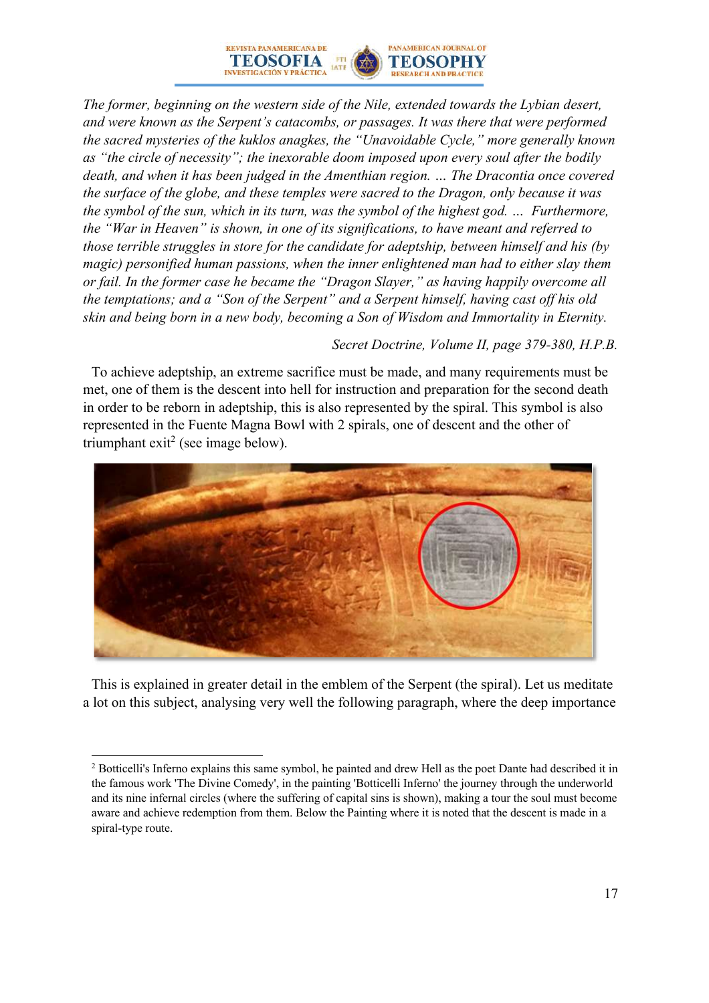

*The former, beginning on the western side of the Nile, extended towards the Lybian desert, and were known as the Serpent's catacombs, or passages. It was there that were performed the sacred mysteries of the kuklos anagkes, the "Unavoidable Cycle," more generally known as "the circle of necessity"; the inexorable doom imposed upon every soul after the bodily death, and when it has been judged in the Amenthian region. … The Dracontia once covered the surface of the globe, and these temples were sacred to the Dragon, only because it was the symbol of the sun, which in its turn, was the symbol of the highest god. … Furthermore, the "War in Heaven" is shown, in one of its significations, to have meant and referred to those terrible struggles in store for the candidate for adeptship, between himself and his (by magic) personified human passions, when the inner enlightened man had to either slay them or fail. In the former case he became the "Dragon Slayer," as having happily overcome all the temptations; and a "Son of the Serpent" and a Serpent himself, having cast off his old skin and being born in a new body, becoming a Son of Wisdom and Immortality in Eternity.*

#### *Secret Doctrine, Volume II, page 379-380, H.P.B.*

To achieve adeptship, an extreme sacrifice must be made, and many requirements must be met, one of them is the descent into hell for instruction and preparation for the second death in order to be reborn in adeptship, this is also represented by the spiral. This symbol is also represented in the Fuente Magna Bowl with 2 spirals, one of descent and the other of triumphant  $exit^2$  (see image below).



This is explained in greater detail in the emblem of the Serpent (the spiral). Let us meditate a lot on this subject, analysing very well the following paragraph, where the deep importance

<sup>&</sup>lt;sup>2</sup> Botticelli's Inferno explains this same symbol, he painted and drew Hell as the poet Dante had described it in the famous work 'The Divine Comedy', in the painting 'Botticelli Inferno' the journey through the underworld and its nine infernal circles (where the suffering of capital sins is shown), making a tour the soul must become aware and achieve redemption from them. Below the Painting where it is noted that the descent is made in a spiral-type route.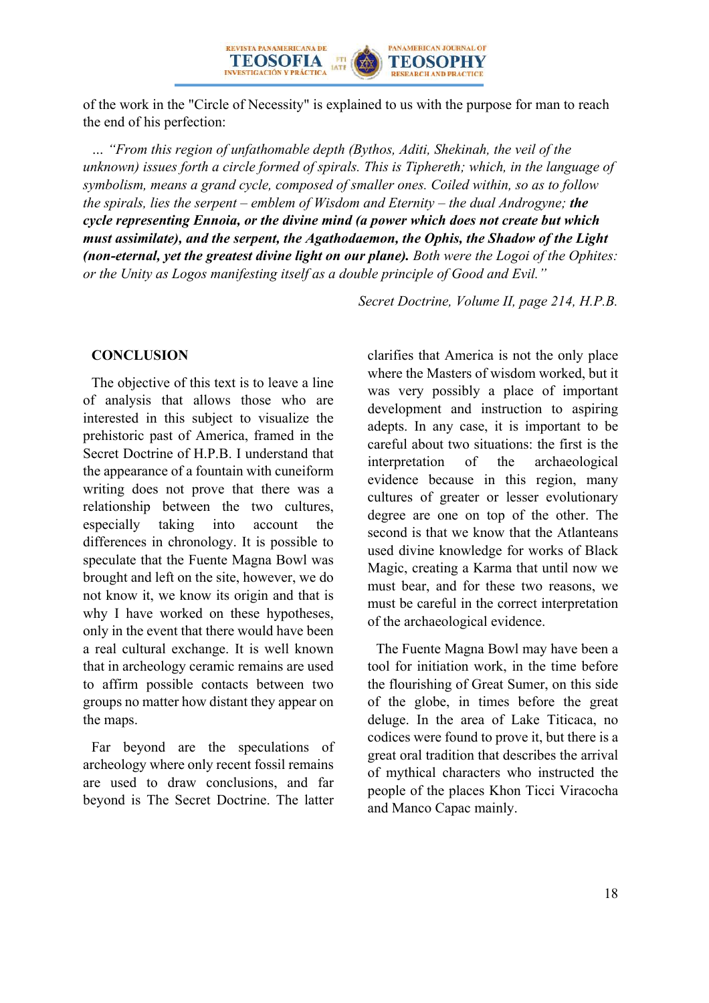

of the work in the "Circle of Necessity" is explained to us with the purpose for man to reach the end of his perfection:

*… "From this region of unfathomable depth (Bythos, Aditi, Shekinah, the veil of the unknown) issues forth a circle formed of spirals. This is Tiphereth; which, in the language of symbolism, means a grand cycle, composed of smaller ones. Coiled within, so as to follow the spirals, lies the serpent – emblem of Wisdom and Eternity – the dual Androgyne; the cycle representing Ennoia, or the divine mind (a power which does not create but which must assimilate), and the serpent, the Agathodaemon, the Ophis, the Shadow of the Light (non-eternal, yet the greatest divine light on our plane). Both were the Logoi of the Ophites: or the Unity as Logos manifesting itself as a double principle of Good and Evil."*

*Secret Doctrine, Volume II, page 214, H.P.B.*

#### **CONCLUSION**

The objective of this text is to leave a line of analysis that allows those who are interested in this subject to visualize the prehistoric past of America, framed in the Secret Doctrine of H.P.B. I understand that the appearance of a fountain with cuneiform writing does not prove that there was a relationship between the two cultures, especially taking into account the differences in chronology. It is possible to speculate that the Fuente Magna Bowl was brought and left on the site, however, we do not know it, we know its origin and that is why I have worked on these hypotheses, only in the event that there would have been a real cultural exchange. It is well known that in archeology ceramic remains are used to affirm possible contacts between two groups no matter how distant they appear on the maps.

Far beyond are the speculations of archeology where only recent fossil remains are used to draw conclusions, and far beyond is The Secret Doctrine. The latter

clarifies that America is not the only place where the Masters of wisdom worked, but it was very possibly a place of important development and instruction to aspiring adepts. In any case, it is important to be careful about two situations: the first is the interpretation of the archaeological evidence because in this region, many cultures of greater or lesser evolutionary degree are one on top of the other. The second is that we know that the Atlanteans used divine knowledge for works of Black Magic, creating a Karma that until now we must bear, and for these two reasons, we must be careful in the correct interpretation of the archaeological evidence.

The Fuente Magna Bowl may have been a tool for initiation work, in the time before the flourishing of Great Sumer, on this side of the globe, in times before the great deluge. In the area of Lake Titicaca, no codices were found to prove it, but there is a great oral tradition that describes the arrival of mythical characters who instructed the people of the places Khon Ticci Viracocha and Manco Capac mainly.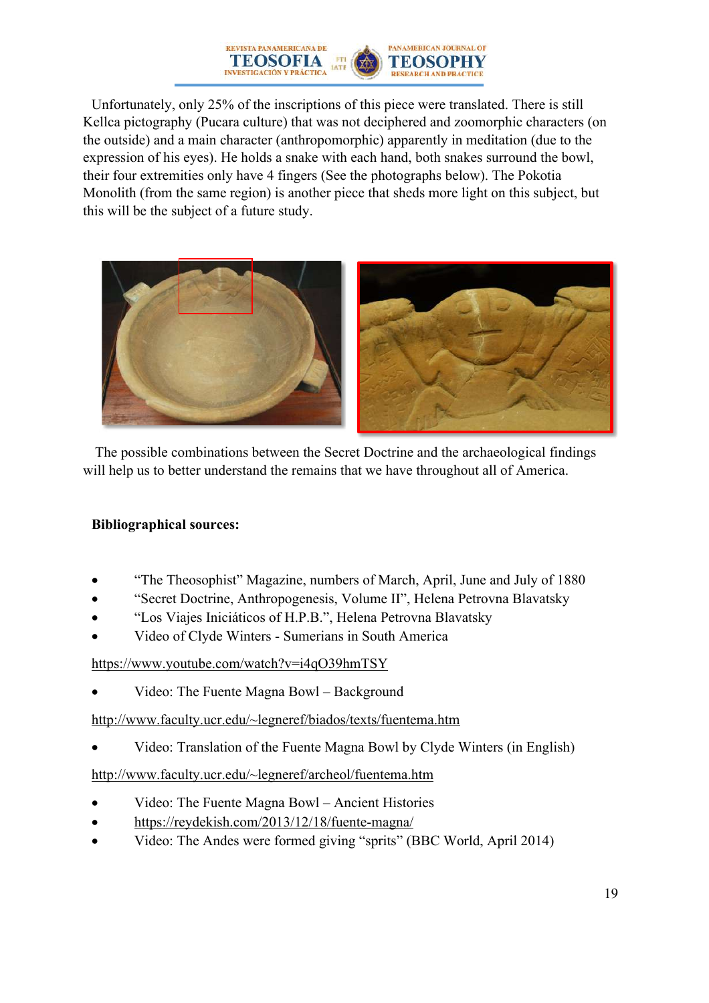

Unfortunately, only 25% of the inscriptions of this piece were translated. There is still Kellca pictography (Pucara culture) that was not deciphered and zoomorphic characters (on the outside) and a main character (anthropomorphic) apparently in meditation (due to the expression of his eyes). He holds a snake with each hand, both snakes surround the bowl, their four extremities only have 4 fingers (See the photographs below). The Pokotia Monolith (from the same region) is another piece that sheds more light on this subject, but this will be the subject of a future study.



The possible combinations between the Secret Doctrine and the archaeological findings will help us to better understand the remains that we have throughout all of America.

#### **Bibliographical sources:**

- "The Theosophist" Magazine, numbers of March, April, June and July of 1880
- "Secret Doctrine, Anthropogenesis, Volume II", Helena Petrovna Blavatsky
- "Los Viajes Iniciáticos of H.P.B.", Helena Petrovna Blavatsky
- Video of Clyde Winters Sumerians in South America

#### https://www.youtube.com/watch?v=i4qO39hmTSY

• Video: The Fuente Magna Bowl – Background

http://www.faculty.ucr.edu/~legneref/biados/texts/fuentema.htm

• Video: Translation of the Fuente Magna Bowl by Clyde Winters (in English)

http://www.faculty.ucr.edu/~legneref/archeol/fuentema.htm

- Video: The Fuente Magna Bowl Ancient Histories
- https://reydekish.com/2013/12/18/fuente-magna/
- Video: The Andes were formed giving "sprits" (BBC World, April 2014)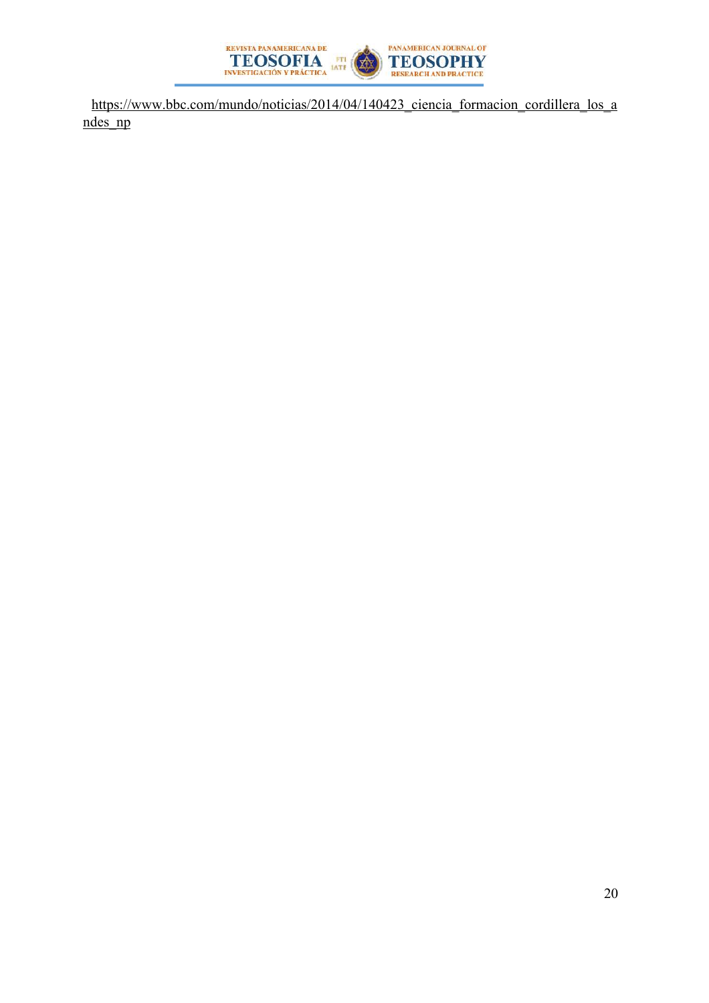

https://www.bbc.com/mundo/noticias/2014/04/140423 ciencia formacion cordillera los a ndes\_np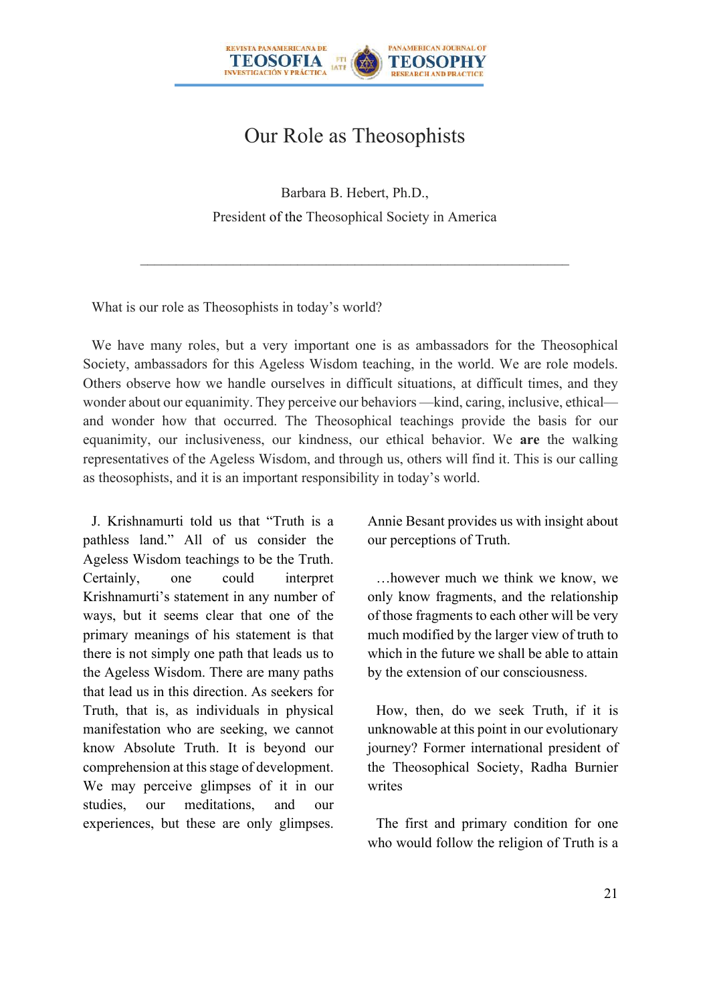

# Our Role as Theosophists

Barbara B. Hebert, Ph.D., President of the Theosophical Society in America

What is our role as Theosophists in today's world?

We have many roles, but a very important one is as ambassadors for the Theosophical Society, ambassadors for this Ageless Wisdom teaching, in the world. We are role models. Others observe how we handle ourselves in difficult situations, at difficult times, and they wonder about our equanimity. They perceive our behaviors —kind, caring, inclusive, ethical and wonder how that occurred. The Theosophical teachings provide the basis for our equanimity, our inclusiveness, our kindness, our ethical behavior. We **are** the walking representatives of the Ageless Wisdom, and through us, others will find it. This is our calling as theosophists, and it is an important responsibility in today's world.

J. Krishnamurti told us that "Truth is a pathless land." All of us consider the Ageless Wisdom teachings to be the Truth. Certainly, one could interpret Krishnamurti's statement in any number of ways, but it seems clear that one of the primary meanings of his statement is that there is not simply one path that leads us to the Ageless Wisdom. There are many paths that lead us in this direction. As seekers for Truth, that is, as individuals in physical manifestation who are seeking, we cannot know Absolute Truth. It is beyond our comprehension at this stage of development. We may perceive glimpses of it in our studies, our meditations, and our experiences, but these are only glimpses.

Annie Besant provides us with insight about our perceptions of Truth.

…however much we think we know, we only know fragments, and the relationship of those fragments to each other will be very much modified by the larger view of truth to which in the future we shall be able to attain by the extension of our consciousness.

How, then, do we seek Truth, if it is unknowable at this point in our evolutionary journey? Former international president of the Theosophical Society, Radha Burnier writes

The first and primary condition for one who would follow the religion of Truth is a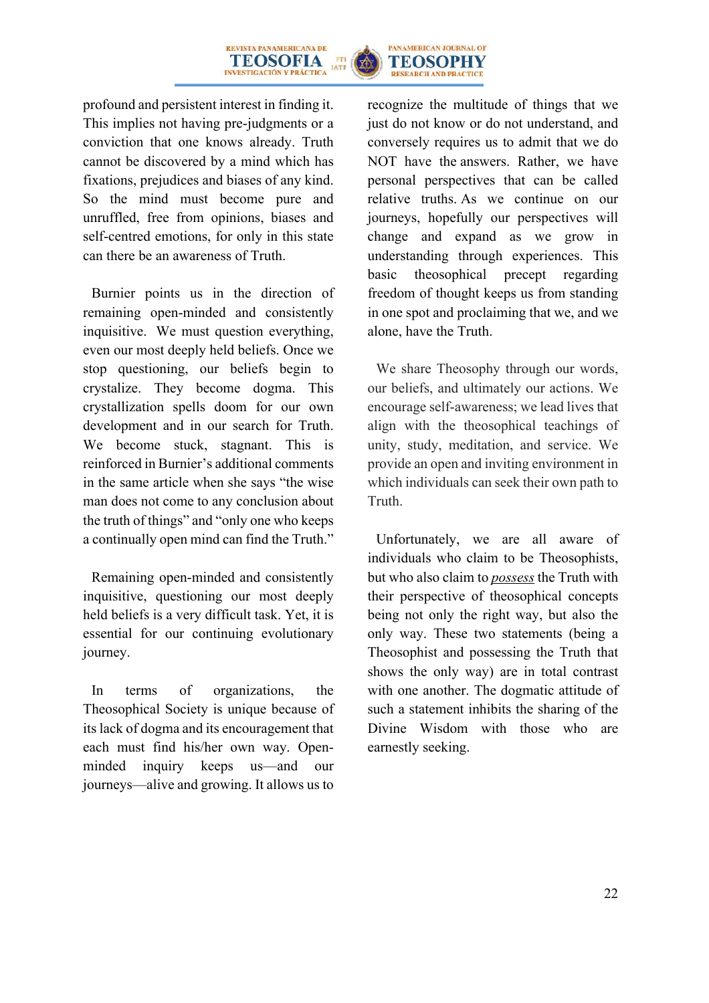



profound and persistent interest in finding it. This implies not having pre-judgments or a conviction that one knows already. Truth cannot be discovered by a mind which has fixations, prejudices and biases of any kind. So the mind must become pure and unruffled, free from opinions, biases and self-centred emotions, for only in this state can there be an awareness of Truth.

Burnier points us in the direction of remaining open-minded and consistently inquisitive. We must question everything, even our most deeply held beliefs. Once we stop questioning, our beliefs begin to crystalize. They become dogma. This crystallization spells doom for our own development and in our search for Truth. We become stuck, stagnant. This is reinforced in Burnier's additional comments in the same article when she says "the wise man does not come to any conclusion about the truth of things" and "only one who keeps a continually open mind can find the Truth."

Remaining open-minded and consistently inquisitive, questioning our most deeply held beliefs is a very difficult task. Yet, it is essential for our continuing evolutionary journey.

In terms of organizations, the Theosophical Society is unique because of its lack of dogma and its encouragement that each must find his/her own way. Openminded inquiry keeps us—and our journeys—alive and growing. It allows us to

recognize the multitude of things that we just do not know or do not understand, and conversely requires us to admit that we do NOT have the answers. Rather, we have personal perspectives that can be called relative truths. As we continue on our journeys, hopefully our perspectives will change and expand as we grow in understanding through experiences. This basic theosophical precept regarding freedom of thought keeps us from standing in one spot and proclaiming that we, and we alone, have the Truth.

We share Theosophy through our words, our beliefs, and ultimately our actions. We encourage self-awareness; we lead lives that align with the theosophical teachings of unity, study, meditation, and service. We provide an open and inviting environment in which individuals can seek their own path to Truth.

Unfortunately, we are all aware of individuals who claim to be Theosophists, but who also claim to *possess* the Truth with their perspective of theosophical concepts being not only the right way, but also the only way. These two statements (being a Theosophist and possessing the Truth that shows the only way) are in total contrast with one another. The dogmatic attitude of such a statement inhibits the sharing of the Divine Wisdom with those who are earnestly seeking.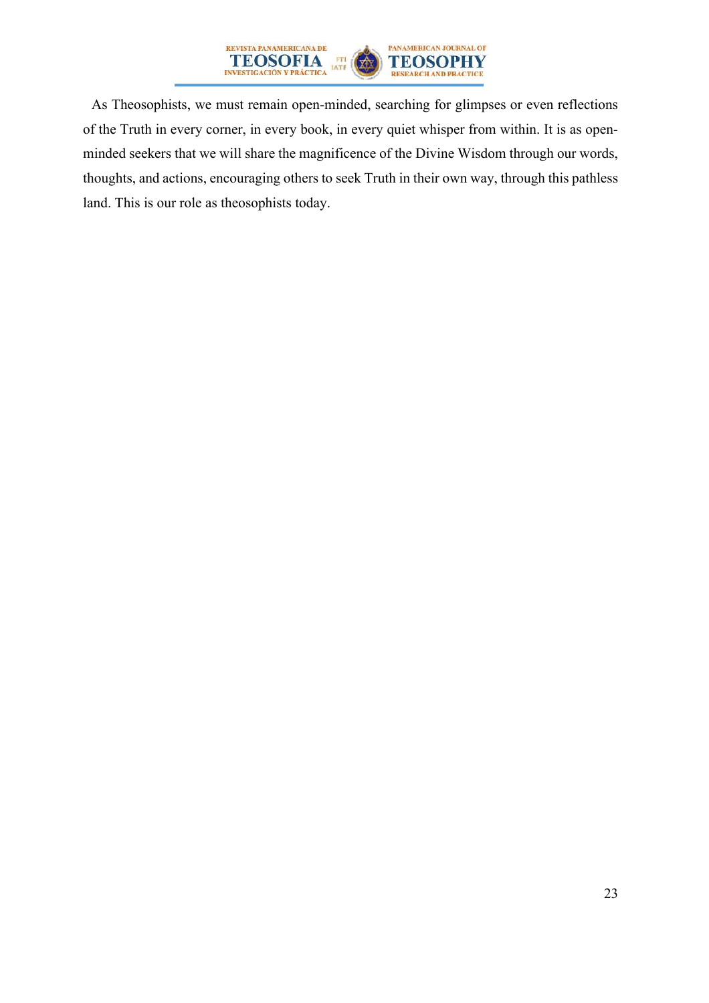

As Theosophists, we must remain open-minded, searching for glimpses or even reflections of the Truth in every corner, in every book, in every quiet whisper from within. It is as openminded seekers that we will share the magnificence of the Divine Wisdom through our words, thoughts, and actions, encouraging others to seek Truth in their own way, through this pathless land. This is our role as theosophists today.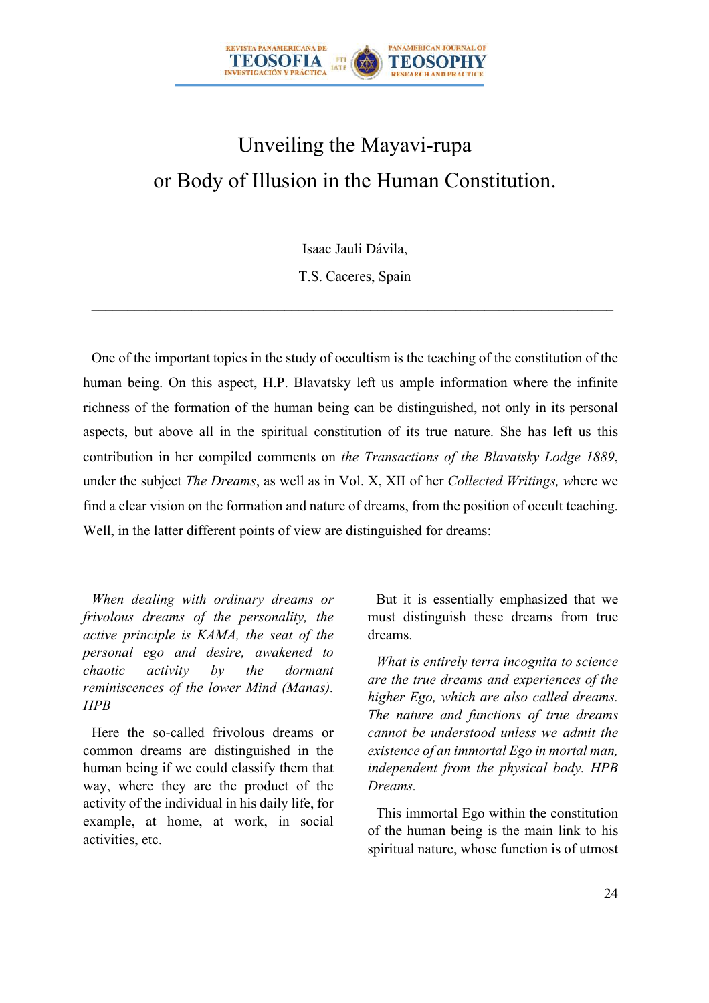

# Unveiling the Mayavi-rupa or Body of Illusion in the Human Constitution.

Isaac Jauli Dávila,

T.S. Caceres, Spain

One of the important topics in the study of occultism is the teaching of the constitution of the human being. On this aspect, H.P. Blavatsky left us ample information where the infinite richness of the formation of the human being can be distinguished, not only in its personal aspects, but above all in the spiritual constitution of its true nature. She has left us this contribution in her compiled comments on *the Transactions of the Blavatsky Lodge 1889*, under the subject *The Dreams*, as well as in Vol. X, XII of her *Collected Writings, w*here we find a clear vision on the formation and nature of dreams, from the position of occult teaching. Well, in the latter different points of view are distinguished for dreams:

*When dealing with ordinary dreams or frivolous dreams of the personality, the active principle is KAMA, the seat of the personal ego and desire, awakened to chaotic activity by the dormant reminiscences of the lower Mind (Manas). HPB*

Here the so-called frivolous dreams or common dreams are distinguished in the human being if we could classify them that way, where they are the product of the activity of the individual in his daily life, for example, at home, at work, in social activities, etc.

But it is essentially emphasized that we must distinguish these dreams from true dreams.

*What is entirely terra incognita to science are the true dreams and experiences of the higher Ego, which are also called dreams. The nature and functions of true dreams cannot be understood unless we admit the existence of an immortal Ego in mortal man, independent from the physical body. HPB Dreams.*

This immortal Ego within the constitution of the human being is the main link to his spiritual nature, whose function is of utmost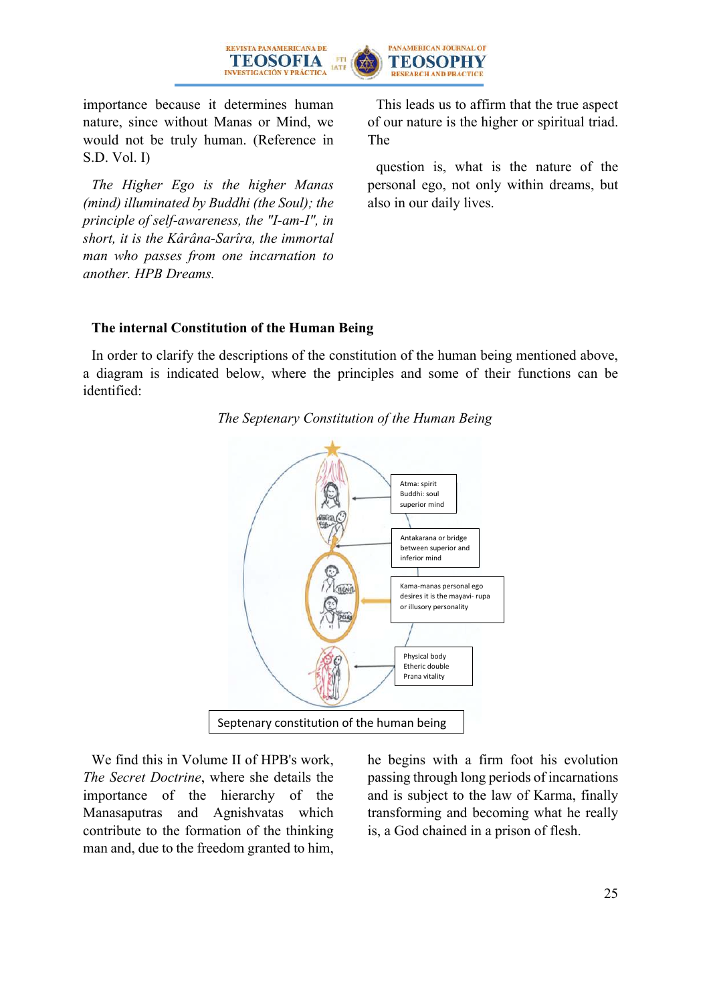



importance because it determines human nature, since without Manas or Mind, we would not be truly human. (Reference in S.D. Vol. I)

*The Higher Ego is the higher Manas (mind) illuminated by Buddhi (the Soul); the principle of self-awareness, the "I-am-I", in short, it is the Kârâna-Sarîra, the immortal man who passes from one incarnation to another. HPB Dreams.*

This leads us to affirm that the true aspect of our nature is the higher or spiritual triad. The

question is, what is the nature of the personal ego, not only within dreams, but also in our daily lives.

#### **The internal Constitution of the Human Being**

In order to clarify the descriptions of the constitution of the human being mentioned above, a diagram is indicated below, where the principles and some of their functions can be identified:





We find this in Volume II of HPB's work, *The Secret Doctrine*, where she details the importance of the hierarchy of the Manasaputras and Agnishvatas which contribute to the formation of the thinking man and, due to the freedom granted to him, he begins with a firm foot his evolution passing through long periods of incarnations and is subject to the law of Karma, finally transforming and becoming what he really is, a God chained in a prison of flesh.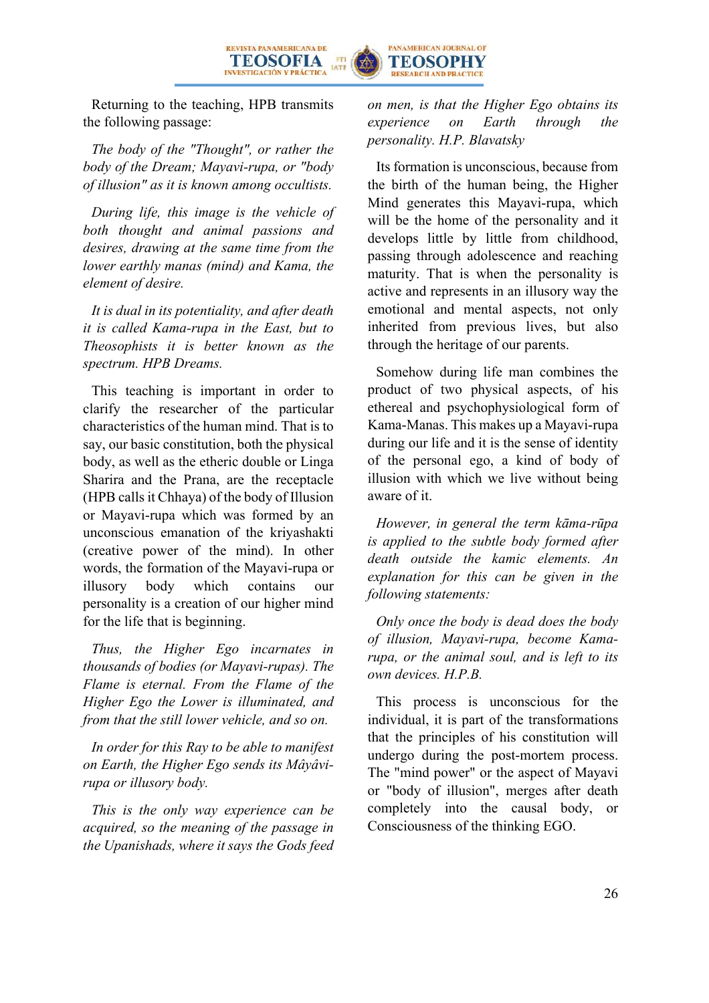

Returning to the teaching, HPB transmits the following passage:

*The body of the "Thought", or rather the body of the Dream; Mayavi-rupa, or "body of illusion" as it is known among occultists.*

*During life, this image is the vehicle of both thought and animal passions and desires, drawing at the same time from the lower earthly manas (mind) and Kama, the element of desire.*

*It is dual in its potentiality, and after death it is called Kama-rupa in the East, but to Theosophists it is better known as the spectrum. HPB Dreams.*

This teaching is important in order to clarify the researcher of the particular characteristics of the human mind. That is to say, our basic constitution, both the physical body, as well as the etheric double or Linga Sharira and the Prana, are the receptacle (HPB calls it Chhaya) of the body of Illusion or Mayavi-rupa which was formed by an unconscious emanation of the kriyashakti (creative power of the mind). In other words, the formation of the Mayavi-rupa or illusory body which contains our personality is a creation of our higher mind for the life that is beginning.

*Thus, the Higher Ego incarnates in thousands of bodies (or Mayavi-rupas). The Flame is eternal. From the Flame of the Higher Ego the Lower is illuminated, and from that the still lower vehicle, and so on.*

*In order for this Ray to be able to manifest on Earth, the Higher Ego sends its Mâyâvirupa or illusory body.*

*This is the only way experience can be acquired, so the meaning of the passage in the Upanishads, where it says the Gods feed*  *on men, is that the Higher Ego obtains its experience on Earth through the personality. H.P. Blavatsky*

Its formation is unconscious, because from the birth of the human being, the Higher Mind generates this Mayavi-rupa, which will be the home of the personality and it develops little by little from childhood, passing through adolescence and reaching maturity. That is when the personality is active and represents in an illusory way the emotional and mental aspects, not only inherited from previous lives, but also through the heritage of our parents.

Somehow during life man combines the product of two physical aspects, of his ethereal and psychophysiological form of Kama-Manas. This makes up a Mayavi-rupa during our life and it is the sense of identity of the personal ego, a kind of body of illusion with which we live without being aware of it.

*However, in general the term kāma-rūpa is applied to the subtle body formed after death outside the kamic elements. An explanation for this can be given in the following statements:*

*Only once the body is dead does the body of illusion, Mayavi-rupa, become Kamarupa, or the animal soul, and is left to its own devices. H.P.B.*

This process is unconscious for the individual, it is part of the transformations that the principles of his constitution will undergo during the post-mortem process. The "mind power" or the aspect of Mayavi or "body of illusion", merges after death completely into the causal body, or Consciousness of the thinking EGO.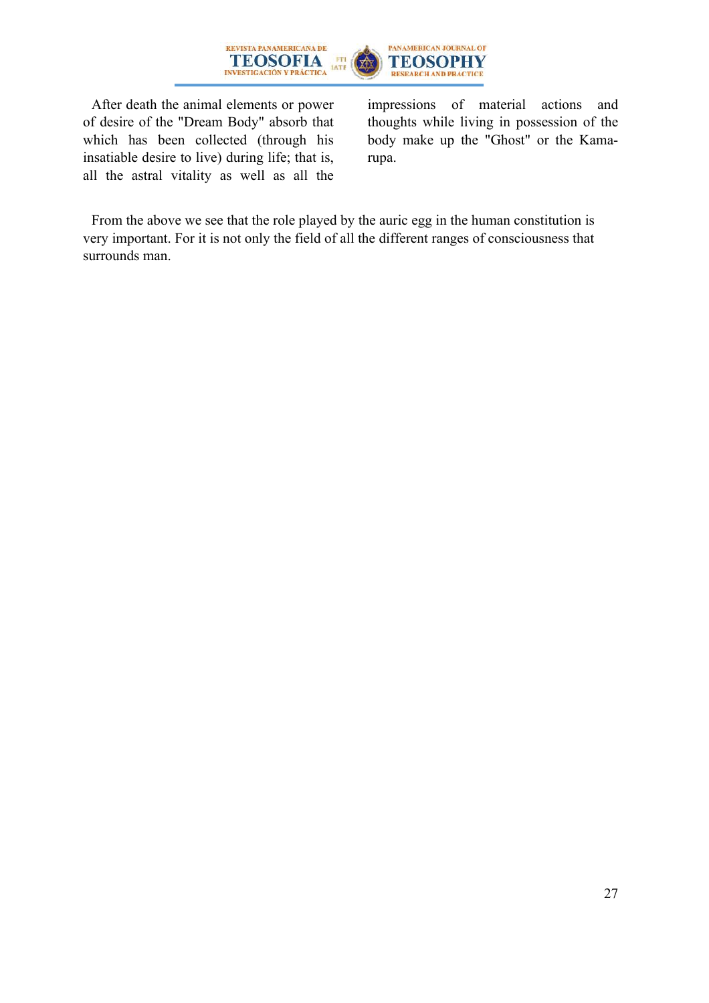

PANAMERICAN JOURNAL OF **TEOSOPHY** RESEARCH AND PRACTICE

After death the animal elements or power of desire of the "Dream Body" absorb that which has been collected (through his insatiable desire to live) during life; that is, all the astral vitality as well as all the

impressions of material actions and thoughts while living in possession of the body make up the "Ghost" or the Kamarupa.

From the above we see that the role played by the auric egg in the human constitution is very important. For it is not only the field of all the different ranges of consciousness that surrounds man.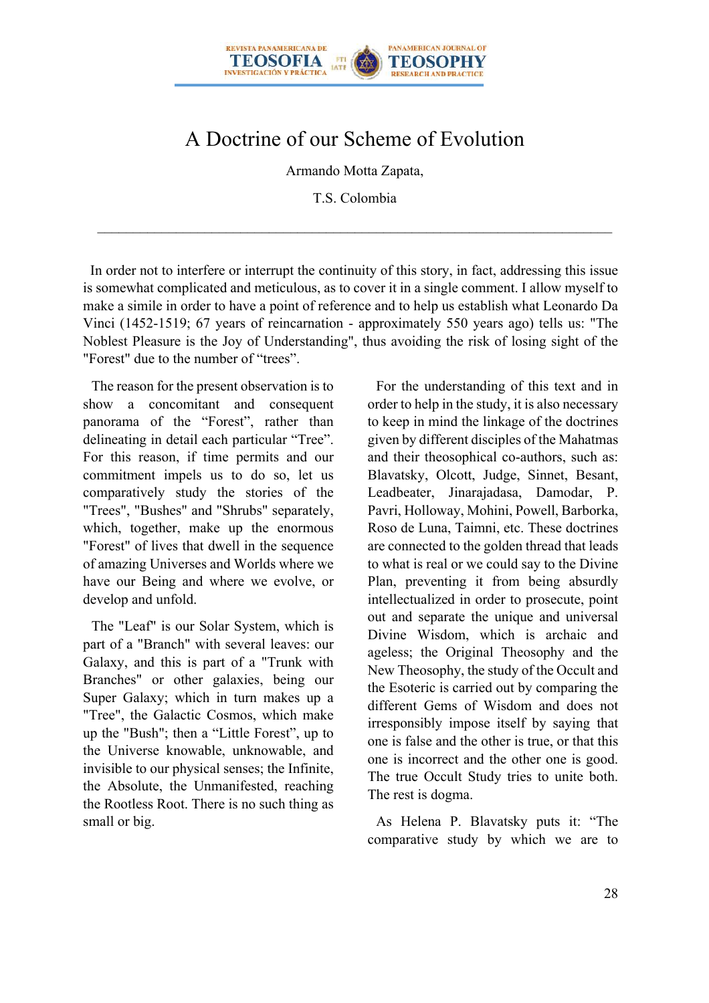

# A Doctrine of our Scheme of Evolution

Armando Motta Zapata,

T.S. Colombia

 In order not to interfere or interrupt the continuity of this story, in fact, addressing this issue is somewhat complicated and meticulous, as to cover it in a single comment. I allow myself to make a simile in order to have a point of reference and to help us establish what Leonardo Da Vinci (1452-1519; 67 years of reincarnation - approximately 550 years ago) tells us: "The Noblest Pleasure is the Joy of Understanding", thus avoiding the risk of losing sight of the "Forest" due to the number of "trees".

The reason for the present observation is to show a concomitant and consequent panorama of the "Forest", rather than delineating in detail each particular "Tree". For this reason, if time permits and our commitment impels us to do so, let us comparatively study the stories of the "Trees", "Bushes" and "Shrubs" separately, which, together, make up the enormous "Forest" of lives that dwell in the sequence of amazing Universes and Worlds where we have our Being and where we evolve, or develop and unfold.

The "Leaf" is our Solar System, which is part of a "Branch" with several leaves: our Galaxy, and this is part of a "Trunk with Branches" or other galaxies, being our Super Galaxy; which in turn makes up a "Tree", the Galactic Cosmos, which make up the "Bush"; then a "Little Forest", up to the Universe knowable, unknowable, and invisible to our physical senses; the Infinite, the Absolute, the Unmanifested, reaching the Rootless Root. There is no such thing as small or big.

For the understanding of this text and in order to help in the study, it is also necessary to keep in mind the linkage of the doctrines given by different disciples of the Mahatmas and their theosophical co-authors, such as: Blavatsky, Olcott, Judge, Sinnet, Besant, Leadbeater, Jinarajadasa, Damodar, P. Pavri, Holloway, Mohini, Powell, Barborka, Roso de Luna, Taimni, etc. These doctrines are connected to the golden thread that leads to what is real or we could say to the Divine Plan, preventing it from being absurdly intellectualized in order to prosecute, point out and separate the unique and universal Divine Wisdom, which is archaic and ageless; the Original Theosophy and the New Theosophy, the study of the Occult and the Esoteric is carried out by comparing the different Gems of Wisdom and does not irresponsibly impose itself by saying that one is false and the other is true, or that this one is incorrect and the other one is good. The true Occult Study tries to unite both. The rest is dogma.

As Helena P. Blavatsky puts it: "The comparative study by which we are to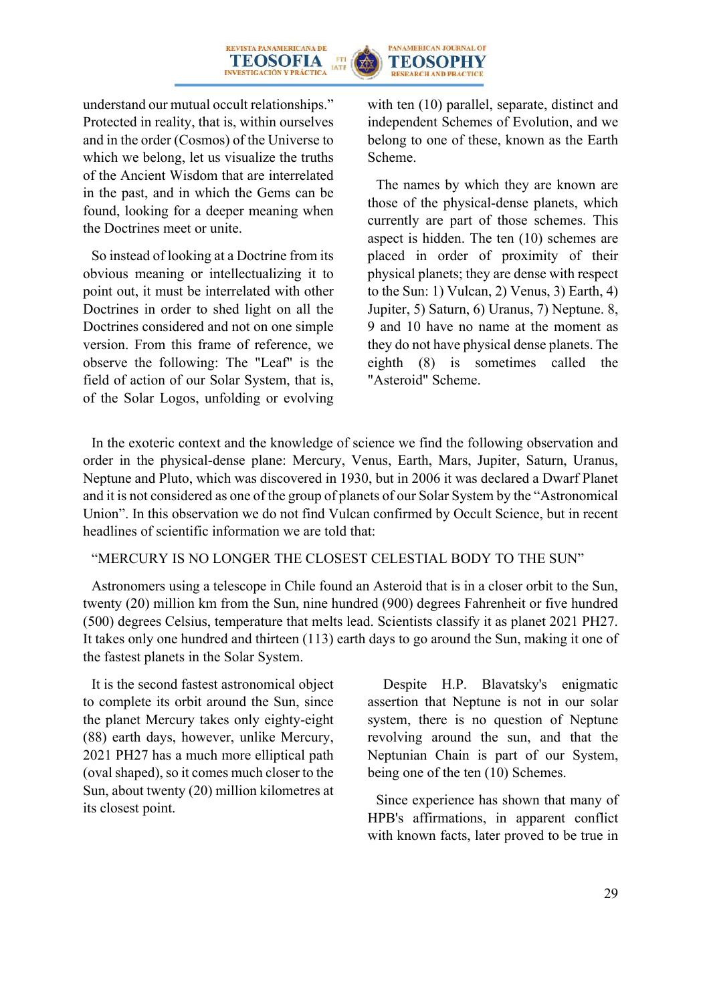



understand our mutual occult relationships." Protected in reality, that is, within ourselves and in the order (Cosmos) of the Universe to which we belong, let us visualize the truths of the Ancient Wisdom that are interrelated in the past, and in which the Gems can be found, looking for a deeper meaning when the Doctrines meet or unite.

So instead of looking at a Doctrine from its obvious meaning or intellectualizing it to point out, it must be interrelated with other Doctrines in order to shed light on all the Doctrines considered and not on one simple version. From this frame of reference, we observe the following: The "Leaf" is the field of action of our Solar System, that is, of the Solar Logos, unfolding or evolving with ten (10) parallel, separate, distinct and independent Schemes of Evolution, and we belong to one of these, known as the Earth Scheme.

The names by which they are known are those of the physical-dense planets, which currently are part of those schemes. This aspect is hidden. The ten (10) schemes are placed in order of proximity of their physical planets; they are dense with respect to the Sun: 1) Vulcan, 2) Venus, 3) Earth, 4) Jupiter, 5) Saturn, 6) Uranus, 7) Neptune. 8, 9 and 10 have no name at the moment as they do not have physical dense planets. The eighth (8) is sometimes called the "Asteroid" Scheme.

In the exoteric context and the knowledge of science we find the following observation and order in the physical-dense plane: Mercury, Venus, Earth, Mars, Jupiter, Saturn, Uranus, Neptune and Pluto, which was discovered in 1930, but in 2006 it was declared a Dwarf Planet and it is not considered as one of the group of planets of our Solar System by the "Astronomical Union". In this observation we do not find Vulcan confirmed by Occult Science, but in recent headlines of scientific information we are told that:

#### "MERCURY IS NO LONGER THE CLOSEST CELESTIAL BODY TO THE SUN"

Astronomers using a telescope in Chile found an Asteroid that is in a closer orbit to the Sun, twenty (20) million km from the Sun, nine hundred (900) degrees Fahrenheit or five hundred (500) degrees Celsius, temperature that melts lead. Scientists classify it as planet 2021 PH27. It takes only one hundred and thirteen (113) earth days to go around the Sun, making it one of the fastest planets in the Solar System.

It is the second fastest astronomical object to complete its orbit around the Sun, since the planet Mercury takes only eighty-eight (88) earth days, however, unlike Mercury, 2021 PH27 has a much more elliptical path (oval shaped), so it comes much closer to the Sun, about twenty (20) million kilometres at its closest point.

 Despite H.P. Blavatsky's enigmatic assertion that Neptune is not in our solar system, there is no question of Neptune revolving around the sun, and that the Neptunian Chain is part of our System, being one of the ten (10) Schemes.

Since experience has shown that many of HPB's affirmations, in apparent conflict with known facts, later proved to be true in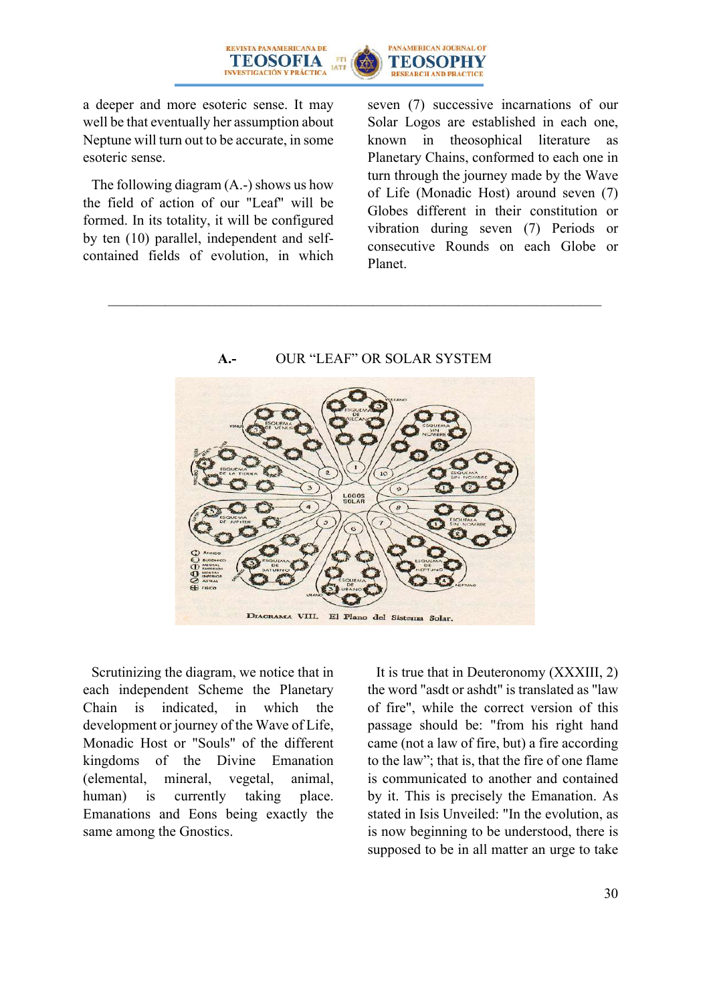

a deeper and more esoteric sense. It may well be that eventually her assumption about Neptune will turn out to be accurate, in some esoteric sense.

The following diagram (A.-) shows us how the field of action of our "Leaf" will be formed. In its totality, it will be configured by ten (10) parallel, independent and selfcontained fields of evolution, in which seven (7) successive incarnations of our Solar Logos are established in each one, known in theosophical literature as Planetary Chains, conformed to each one in turn through the journey made by the Wave of Life (Monadic Host) around seven (7) Globes different in their constitution or vibration during seven (7) Periods or consecutive Rounds on each Globe or Planet.



Scrutinizing the diagram, we notice that in each independent Scheme the Planetary Chain is indicated, in which the development or journey of the Wave of Life, Monadic Host or "Souls" of the different kingdoms of the Divine Emanation (elemental, mineral, vegetal, animal, human) is currently taking place. Emanations and Eons being exactly the same among the Gnostics.

It is true that in Deuteronomy (XXXIII, 2) the word "asdt or ashdt" is translated as "law of fire", while the correct version of this passage should be: "from his right hand came (not a law of fire, but) a fire according to the law"; that is, that the fire of one flame is communicated to another and contained by it. This is precisely the Emanation. As stated in Isis Unveiled: "In the evolution, as is now beginning to be understood, there is supposed to be in all matter an urge to take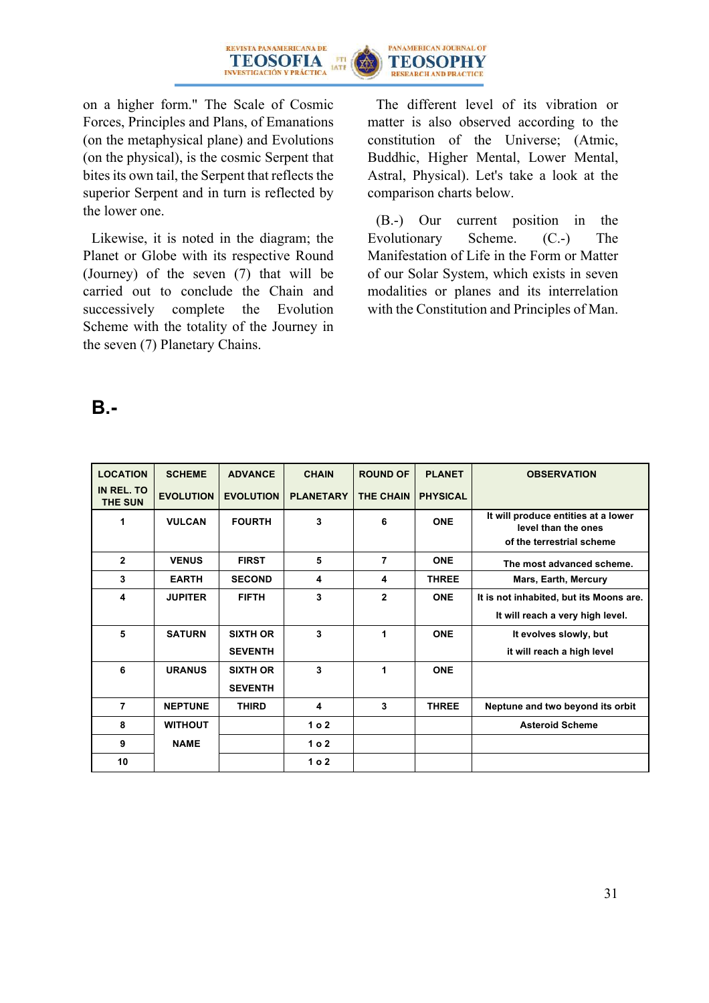

on a higher form." The Scale of Cosmic Forces, Principles and Plans, of Emanations (on the metaphysical plane) and Evolutions (on the physical), is the cosmic Serpent that bites its own tail, the Serpent that reflects the superior Serpent and in turn is reflected by the lower one.

Likewise, it is noted in the diagram; the Planet or Globe with its respective Round (Journey) of the seven (7) that will be carried out to conclude the Chain and successively complete the Evolution Scheme with the totality of the Journey in the seven (7) Planetary Chains.

The different level of its vibration or matter is also observed according to the constitution of the Universe; (Atmic, Buddhic, Higher Mental, Lower Mental, Astral, Physical). Let's take a look at the comparison charts below.

(B.-) Our current position in the Evolutionary Scheme. (C.-) The Manifestation of Life in the Form or Matter of our Solar System, which exists in seven modalities or planes and its interrelation with the Constitution and Principles of Man.

## **B.-**

| <b>LOCATION</b>       | <b>SCHEME</b>    | <b>ADVANCE</b>   | <b>CHAIN</b>     | <b>ROUND OF</b>  | <b>PLANET</b>   | <b>OBSERVATION</b>                                         |
|-----------------------|------------------|------------------|------------------|------------------|-----------------|------------------------------------------------------------|
| IN REL. TO<br>THE SUN | <b>EVOLUTION</b> | <b>EVOLUTION</b> | <b>PLANETARY</b> | <b>THE CHAIN</b> | <b>PHYSICAL</b> |                                                            |
| 1                     | <b>VULCAN</b>    | <b>FOURTH</b>    | 3                | 6                | <b>ONE</b>      | It will produce entities at a lower<br>level than the ones |
|                       |                  |                  |                  |                  |                 | of the terrestrial scheme                                  |
| $\overline{2}$        | <b>VENUS</b>     | <b>FIRST</b>     | 5                | $\overline{7}$   | <b>ONE</b>      | The most advanced scheme.                                  |
| 3                     | <b>EARTH</b>     | <b>SECOND</b>    | 4                | 4                | <b>THREE</b>    | Mars, Earth, Mercury                                       |
| 4                     | <b>JUPITER</b>   | <b>FIFTH</b>     | 3                | $\overline{2}$   | <b>ONE</b>      | It is not inhabited, but its Moons are.                    |
|                       |                  |                  |                  |                  |                 | It will reach a very high level.                           |
| 5                     | <b>SATURN</b>    | <b>SIXTH OR</b>  | 3                | 1                | <b>ONE</b>      | It evolves slowly, but                                     |
|                       |                  | <b>SEVENTH</b>   |                  |                  |                 | it will reach a high level                                 |
| 6                     | <b>URANUS</b>    | <b>SIXTH OR</b>  | 3                | 1                | <b>ONE</b>      |                                                            |
|                       |                  | <b>SEVENTH</b>   |                  |                  |                 |                                                            |
| $\overline{7}$        | <b>NEPTUNE</b>   | <b>THIRD</b>     | 4                | 3                | <b>THREE</b>    | Neptune and two beyond its orbit                           |
| 8                     | <b>WITHOUT</b>   |                  | 1 <sub>0</sub> 2 |                  |                 | <b>Asteroid Scheme</b>                                     |
| 9                     | <b>NAME</b>      |                  | 1 <sub>0</sub> 2 |                  |                 |                                                            |
| 10                    |                  |                  | 1 <sub>0</sub> 2 |                  |                 |                                                            |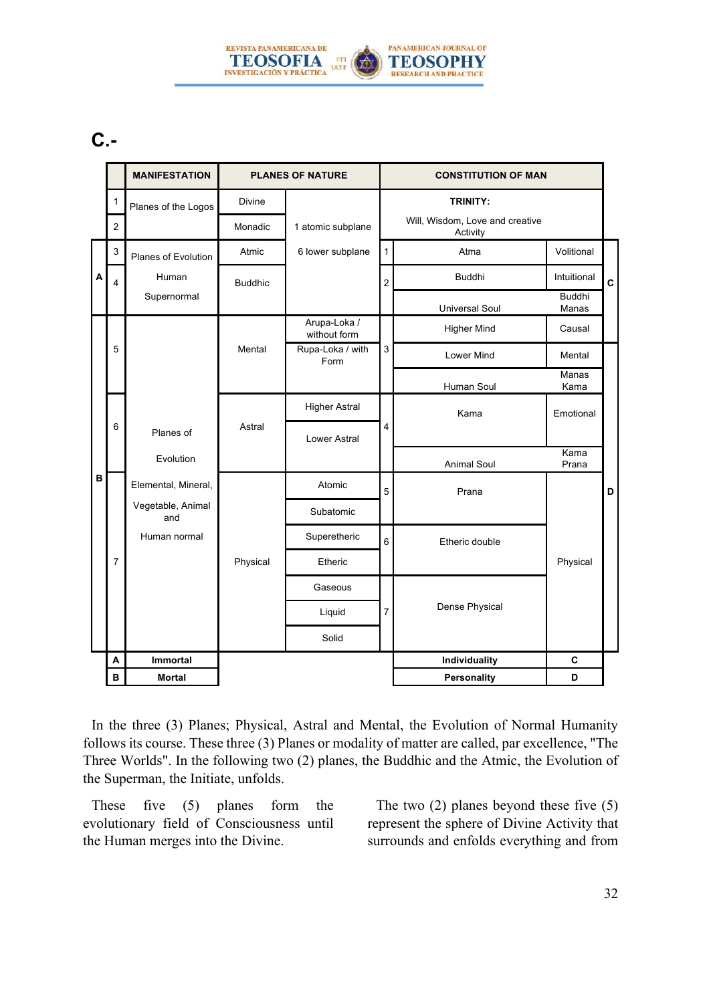

# **C.-**

|   |                | <b>MANIFESTATION</b>     | <b>PLANES OF NATURE</b> |                                                               |                | <b>CONSTITUTION OF MAN</b>                      |               |             |            |  |
|---|----------------|--------------------------|-------------------------|---------------------------------------------------------------|----------------|-------------------------------------------------|---------------|-------------|------------|--|
|   | $\mathbf{1}$   | Planes of the Logos      | Divine                  | 1 atomic subplane                                             |                | <b>TRINITY:</b>                                 |               |             |            |  |
|   | $\overline{2}$ |                          | Monadic                 |                                                               |                | Will, Wisdom, Love and creative<br>Activity     |               |             |            |  |
|   | 3              | Planes of Evolution      | Atmic                   | 6 lower subplane                                              |                |                                                 |               | Atma        | Volitional |  |
| A | $\overline{4}$ | Human                    | <b>Buddhic</b>          |                                                               | $\overline{2}$ | <b>Buddhi</b>                                   | Intuitional   | $\mathbf c$ |            |  |
|   |                | Supernormal              |                         |                                                               |                | <b>Buddhi</b><br><b>Universal Soul</b><br>Manas |               |             |            |  |
|   |                |                          |                         | Arupa-Loka /<br>without form                                  |                | <b>Higher Mind</b>                              | Causal        |             |            |  |
|   | 5              |                          | Mental                  | 3<br>Rupa-Loka / with<br>Form                                 |                | Lower Mind                                      | Mental        |             |            |  |
|   |                |                          |                         |                                                               |                | Human Soul                                      | Manas<br>Kama |             |            |  |
|   |                |                          |                         | <b>Higher Astral</b><br>$\overline{4}$<br><b>Lower Astral</b> |                | Kama                                            | Emotional     |             |            |  |
|   | 6              | Planes of                | Astral                  |                                                               |                |                                                 |               |             |            |  |
|   |                | Evolution                |                         |                                                               |                | <b>Animal Soul</b>                              | Kama<br>Prana |             |            |  |
| B |                | Elemental, Mineral,      |                         | Atomic                                                        | 5              | Prana                                           |               | D           |            |  |
|   |                | Vegetable, Animal<br>and |                         | Subatomic                                                     |                |                                                 |               |             |            |  |
|   |                | Human normal             |                         | Superetheric<br>6                                             |                | Etheric double                                  |               |             |            |  |
|   | 7              |                          | Physical                | Etheric                                                       |                |                                                 | Physical      |             |            |  |
|   |                |                          |                         | Gaseous<br>$\overline{7}$<br>Liquid                           |                |                                                 |               |             |            |  |
|   |                |                          |                         |                                                               |                | Dense Physical                                  |               |             |            |  |
|   |                |                          |                         | Solid                                                         |                |                                                 |               |             |            |  |
|   | A              | <b>Immortal</b>          |                         |                                                               |                | Individuality                                   | $\mathbf c$   |             |            |  |
|   | В              | <b>Mortal</b>            |                         |                                                               |                | <b>Personality</b>                              | D             |             |            |  |

In the three (3) Planes; Physical, Astral and Mental, the Evolution of Normal Humanity follows its course. These three (3) Planes or modality of matter are called, par excellence, "The Three Worlds". In the following two (2) planes, the Buddhic and the Atmic, the Evolution of the Superman, the Initiate, unfolds.

These five (5) planes form the evolutionary field of Consciousness until the Human merges into the Divine.

The two (2) planes beyond these five (5) represent the sphere of Divine Activity that surrounds and enfolds everything and from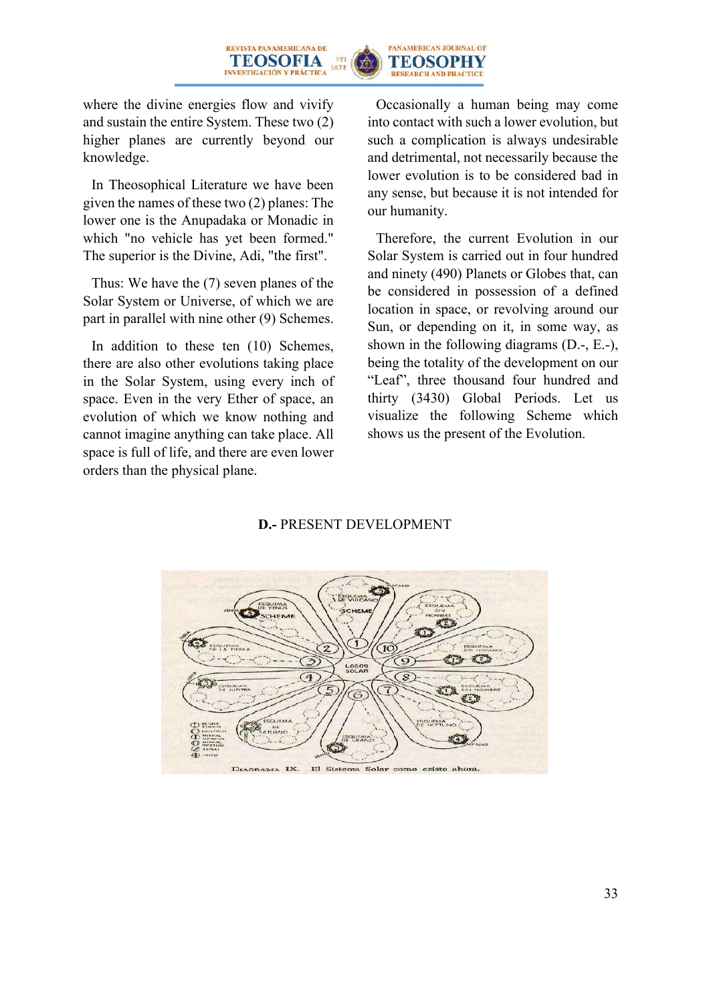



where the divine energies flow and vivify and sustain the entire System. These two (2) higher planes are currently beyond our knowledge.

In Theosophical Literature we have been given the names of these two (2) planes: The lower one is the Anupadaka or Monadic in which "no vehicle has yet been formed." The superior is the Divine, Adi, "the first".

Thus: We have the (7) seven planes of the Solar System or Universe, of which we are part in parallel with nine other (9) Schemes.

In addition to these ten (10) Schemes, there are also other evolutions taking place in the Solar System, using every inch of space. Even in the very Ether of space, an evolution of which we know nothing and cannot imagine anything can take place. All space is full of life, and there are even lower orders than the physical plane.

Occasionally a human being may come into contact with such a lower evolution, but such a complication is always undesirable and detrimental, not necessarily because the lower evolution is to be considered bad in any sense, but because it is not intended for our humanity.

Therefore, the current Evolution in our Solar System is carried out in four hundred and ninety (490) Planets or Globes that, can be considered in possession of a defined location in space, or revolving around our Sun, or depending on it, in some way, as shown in the following diagrams (D.-, E.-), being the totality of the development on our "Leaf", three thousand four hundred and thirty (3430) Global Periods. Let us visualize the following Scheme which shows us the present of the Evolution.

#### **D.-** PRESENT DEVELOPMENT

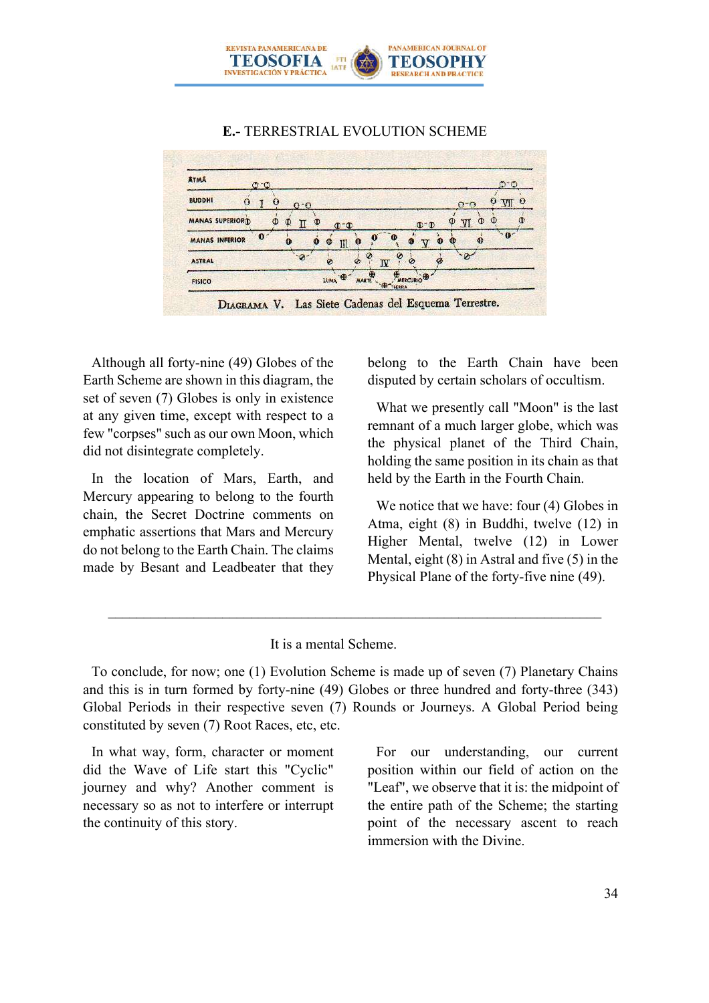

#### **E.-** TERRESTRIAL EVOLUTION SCHEME

| <b>ATMA</b>                   | $O^-O$       |           |                  |                              |                  |                            |              | $O^{\sim}O$ |                       |
|-------------------------------|--------------|-----------|------------------|------------------------------|------------------|----------------------------|--------------|-------------|-----------------------|
| <b>BUDDHI</b><br>$\mathbf{o}$ | O            | $O^-O$    |                  |                              |                  |                            | $O - O$      |             | $\boldsymbol{\Omega}$ |
| <b>MANAS SUPERIORD</b>        | Φ            | O<br>П    | œ                | $\Phi$ - $\Phi$              |                  | $\Phi$ <sup>-</sup> $\Phi$ | ന<br>VI      | Ф           |                       |
| <b>MANAS INFERIOR</b>         | $\mathbf{0}$ | $\bullet$ | $\mathbf o$<br>O | $\mathbf{0}$<br>$\mathbb{H}$ |                  | œ                          | $\mathbf{Q}$ | $-4b$       |                       |
| <b>ASTRAL</b>                 |              | $-9$      | ø                | Ó                            | Ø<br>$\mathbf w$ | ø                          |              |             |                       |
| <b>FISICO</b>                 |              |           |                  | LUNA O<br><b>MARTE</b>       | <b>D</b> THEREA  | MERCURIO                   |              |             |                       |

Although all forty-nine (49) Globes of the Earth Scheme are shown in this diagram, the set of seven (7) Globes is only in existence at any given time, except with respect to a few "corpses" such as our own Moon, which did not disintegrate completely.

In the location of Mars, Earth, and Mercury appearing to belong to the fourth chain, the Secret Doctrine comments on emphatic assertions that Mars and Mercury do not belong to the Earth Chain. The claims made by Besant and Leadbeater that they belong to the Earth Chain have been disputed by certain scholars of occultism.

What we presently call "Moon" is the last remnant of a much larger globe, which was the physical planet of the Third Chain, holding the same position in its chain as that held by the Earth in the Fourth Chain.

We notice that we have: four (4) Globes in Atma, eight (8) in Buddhi, twelve (12) in Higher Mental, twelve (12) in Lower Mental, eight (8) in Astral and five (5) in the Physical Plane of the forty-five nine (49).

#### It is a mental Scheme.

To conclude, for now; one (1) Evolution Scheme is made up of seven (7) Planetary Chains and this is in turn formed by forty-nine (49) Globes or three hundred and forty-three (343) Global Periods in their respective seven (7) Rounds or Journeys. A Global Period being constituted by seven (7) Root Races, etc, etc.

In what way, form, character or moment did the Wave of Life start this "Cyclic" journey and why? Another comment is necessary so as not to interfere or interrupt the continuity of this story.

For our understanding, our current position within our field of action on the "Leaf", we observe that it is: the midpoint of the entire path of the Scheme; the starting point of the necessary ascent to reach immersion with the Divine.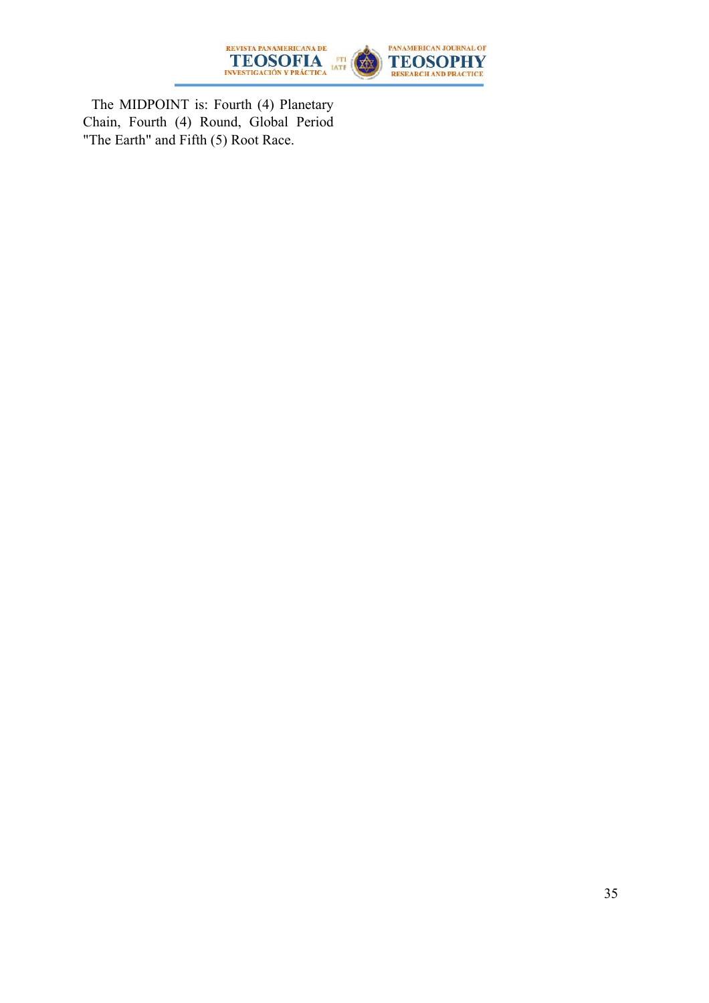

The MIDPOINT is: Fourth (4) Planetary Chain, Fourth (4) Round, Global Period "The Earth" and Fifth (5) Root Race.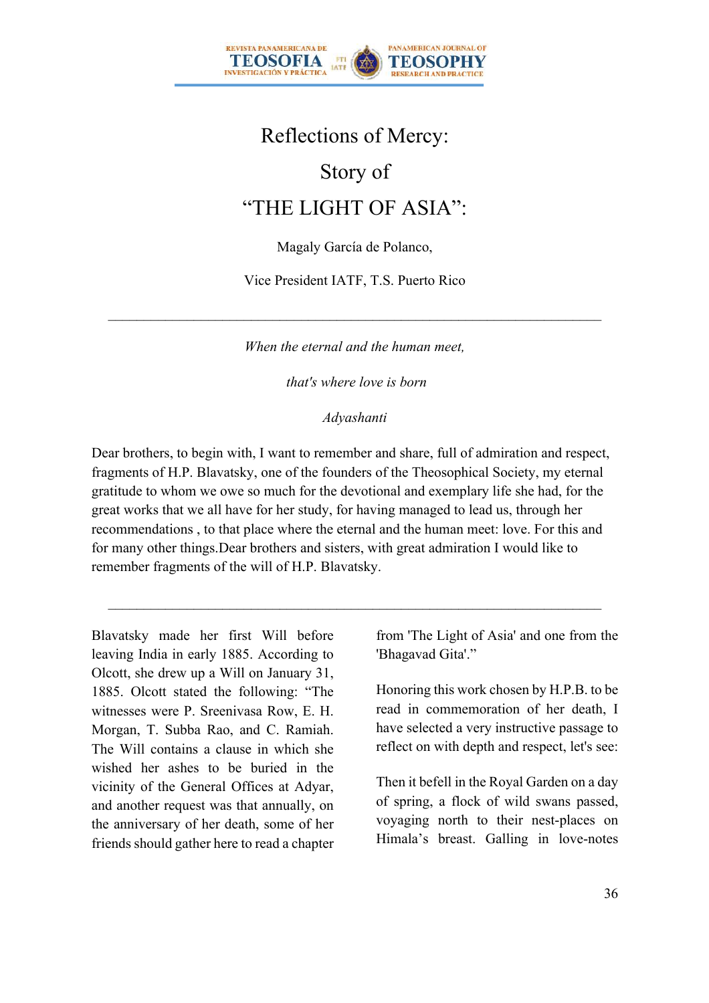

# Reflections of Mercy:

# Story of

# "THE LIGHT OF ASIA":

Magaly García de Polanco,

Vice President IATF, T.S. Puerto Rico

*When the eternal and the human meet,*

*that's where love is born*

#### *Adyashanti*

Dear brothers, to begin with, I want to remember and share, full of admiration and respect, fragments of H.P. Blavatsky, one of the founders of the Theosophical Society, my eternal gratitude to whom we owe so much for the devotional and exemplary life she had, for the great works that we all have for her study, for having managed to lead us, through her recommendations , to that place where the eternal and the human meet: love. For this and for many other things.Dear brothers and sisters, with great admiration I would like to remember fragments of the will of H.P. Blavatsky.

Blavatsky made her first Will before leaving India in early 1885. According to Olcott, she drew up a Will on January 31, 1885. Olcott stated the following: "The witnesses were P. Sreenivasa Row, E. H. Morgan, T. Subba Rao, and C. Ramiah. The Will contains a clause in which she wished her ashes to be buried in the vicinity of the General Offices at Adyar, and another request was that annually, on the anniversary of her death, some of her friends should gather here to read a chapter from 'The Light of Asia' and one from the 'Bhagavad Gita'."

Honoring this work chosen by H.P.B. to be read in commemoration of her death, I have selected a very instructive passage to reflect on with depth and respect, let's see:

Then it befell in the Royal Garden on a day of spring, a flock of wild swans passed, voyaging north to their nest-places on Himala's breast. Galling in love-notes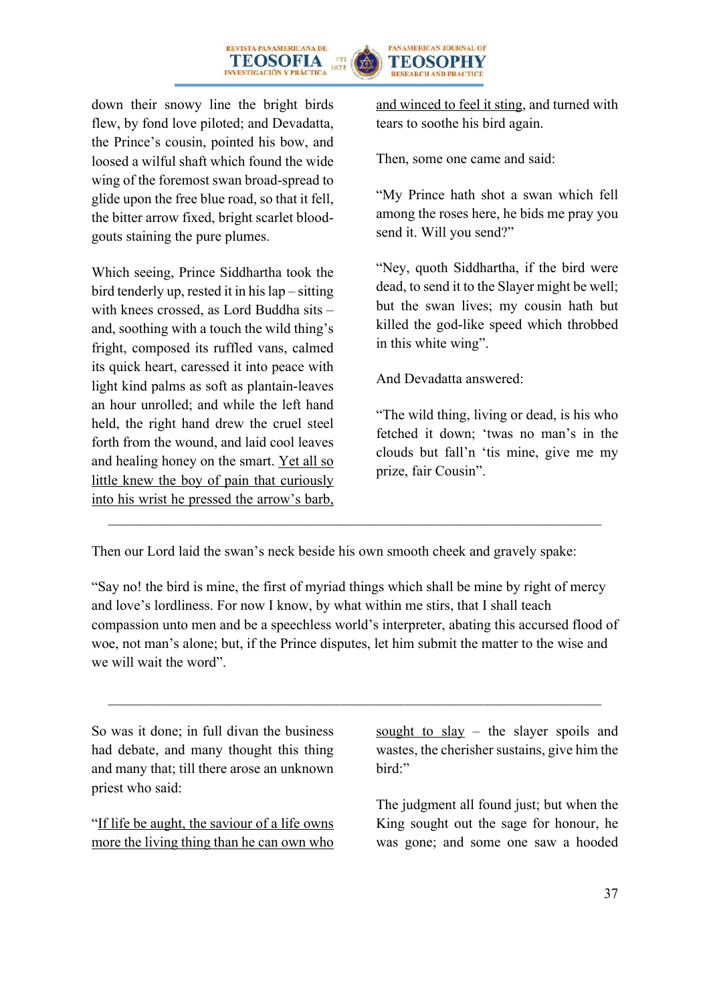



down their snowy line the bright birds flew, by fond love piloted; and Devadatta, the Prince's cousin, pointed his bow, and loosed a wilful shaft which found the wide wing of the foremost swan broad-spread to glide upon the free blue road, so that it fell, the bitter arrow fixed, bright scarlet bloodgouts staining the pure plumes.

Which seeing, Prince Siddhartha took the bird tenderly up, rested it in his lap – sitting with knees crossed, as Lord Buddha sits – and, soothing with a touch the wild thing's fright, composed its ruffled vans, calmed its quick heart, caressed it into peace with light kind palms as soft as plantain-leaves an hour unrolled; and while the left hand held, the right hand drew the cruel steel forth from the wound, and laid cool leaves and healing honey on the smart. Yet all so little knew the boy of pain that curiously into his wrist he pressed the arrow's barb,

and winced to feel it sting, and turned with tears to soothe his bird again.

Then, some one came and said:

"My Prince hath shot a swan which fell among the roses here, he bids me pray you send it. Will you send?"

"Ney, quoth Siddhartha, if the bird were dead, to send it to the Slayer might be well; but the swan lives; my cousin hath but killed the god-like speed which throbbed in this white wing".

And Devadatta answered:

"The wild thing, living or dead, is his who fetched it down; 'twas no man's in the clouds but fall'n 'tis mine, give me my prize, fair Cousin".

Then our Lord laid the swan's neck beside his own smooth cheek and gravely spake:

"Say no! the bird is mine, the first of myriad things which shall be mine by right of mercy and love's lordliness. For now I know, by what within me stirs, that I shall teach compassion unto men and be a speechless world's interpreter, abating this accursed flood of woe, not man's alone; but, if the Prince disputes, let him submit the matter to the wise and we will wait the word".

So was it done; in full divan the business had debate, and many thought this thing and many that; till there arose an unknown priest who said:

"If life be aught, the saviour of a life owns more the living thing than he can own who sought to slay – the slayer spoils and wastes, the cherisher sustains, give him the bird:"

The judgment all found just; but when the King sought out the sage for honour, he was gone; and some one saw a hooded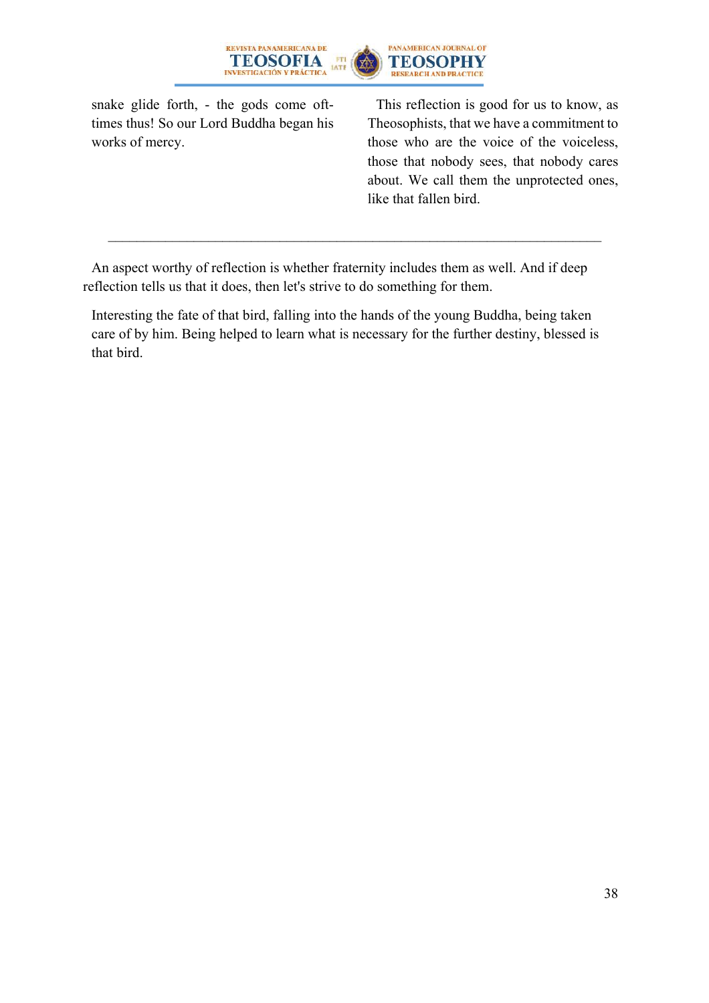

snake glide forth, - the gods come ofttimes thus! So our Lord Buddha began his works of mercy.

This reflection is good for us to know, as Theosophists, that we have a commitment to those who are the voice of the voiceless, those that nobody sees, that nobody cares about. We call them the unprotected ones, like that fallen bird.

An aspect worthy of reflection is whether fraternity includes them as well. And if deep reflection tells us that it does, then let's strive to do something for them.

Interesting the fate of that bird, falling into the hands of the young Buddha, being taken care of by him. Being helped to learn what is necessary for the further destiny, blessed is that bird.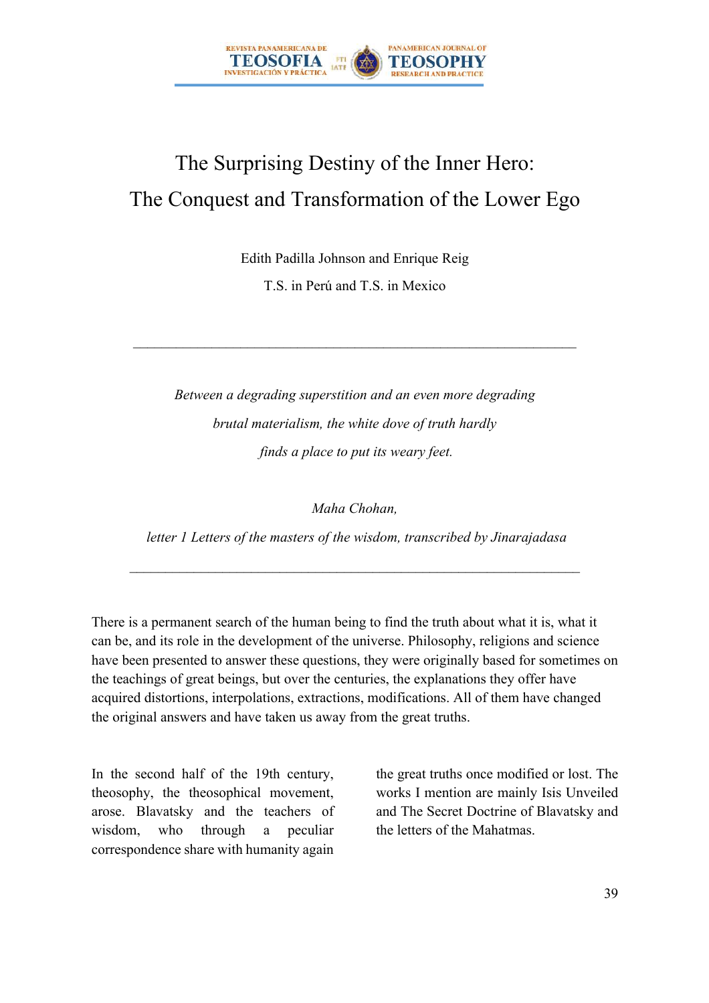

# The Surprising Destiny of the Inner Hero: The Conquest and Transformation of the Lower Ego

Edith Padilla Johnson and Enrique Reig

T.S. in Perú and T.S. in Mexico

 $\mathcal{L}_\text{max} = \mathcal{L}_\text{max} = \mathcal{L}_\text{max} = \mathcal{L}_\text{max} = \mathcal{L}_\text{max} = \mathcal{L}_\text{max} = \mathcal{L}_\text{max} = \mathcal{L}_\text{max} = \mathcal{L}_\text{max} = \mathcal{L}_\text{max} = \mathcal{L}_\text{max} = \mathcal{L}_\text{max} = \mathcal{L}_\text{max} = \mathcal{L}_\text{max} = \mathcal{L}_\text{max} = \mathcal{L}_\text{max} = \mathcal{L}_\text{max} = \mathcal{L}_\text{max} = \mathcal{$ 

*Between a degrading superstition and an even more degrading brutal materialism, the white dove of truth hardly finds a place to put its weary feet.*

*Maha Chohan,*

*letter 1 Letters of the masters of the wisdom, transcribed by Jinarajadasa*

There is a permanent search of the human being to find the truth about what it is, what it can be, and its role in the development of the universe. Philosophy, religions and science have been presented to answer these questions, they were originally based for sometimes on the teachings of great beings, but over the centuries, the explanations they offer have acquired distortions, interpolations, extractions, modifications. All of them have changed the original answers and have taken us away from the great truths.

In the second half of the 19th century, theosophy, the theosophical movement, arose. Blavatsky and the teachers of wisdom, who through a peculiar correspondence share with humanity again

the great truths once modified or lost. The works I mention are mainly Isis Unveiled and The Secret Doctrine of Blavatsky and the letters of the Mahatmas.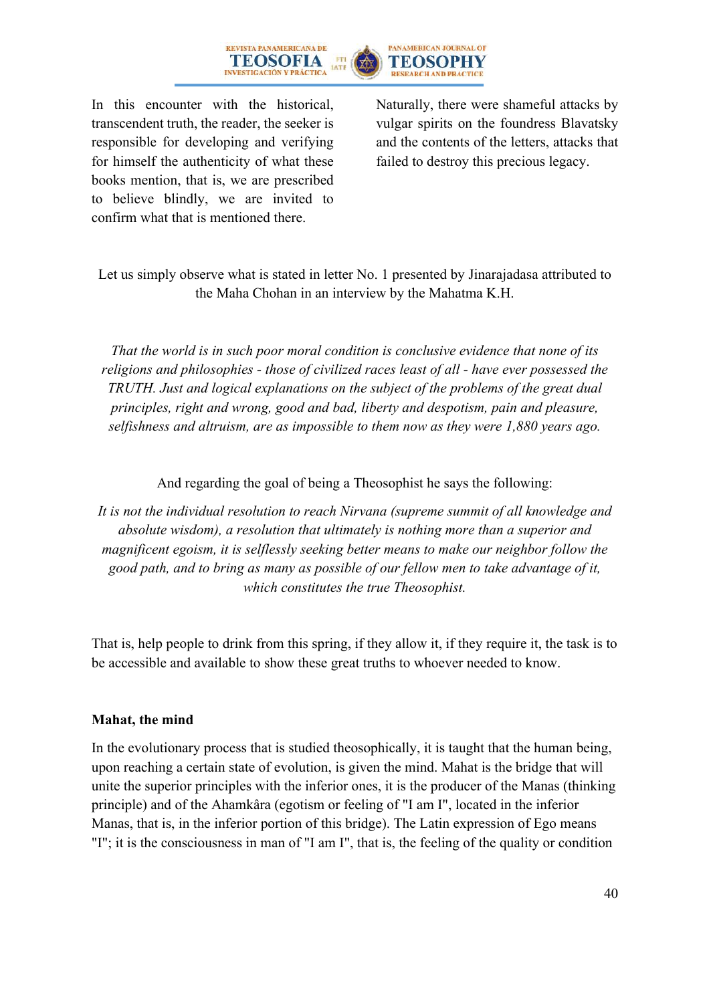



In this encounter with the historical, transcendent truth, the reader, the seeker is responsible for developing and verifying for himself the authenticity of what these books mention, that is, we are prescribed to believe blindly, we are invited to confirm what that is mentioned there.

Naturally, there were shameful attacks by vulgar spirits on the foundress Blavatsky and the contents of the letters, attacks that failed to destroy this precious legacy.

### Let us simply observe what is stated in letter No. 1 presented by Jinarajadasa attributed to the Maha Chohan in an interview by the Mahatma K.H.

*That the world is in such poor moral condition is conclusive evidence that none of its religions and philosophies - those of civilized races least of all - have ever possessed the TRUTH. Just and logical explanations on the subject of the problems of the great dual principles, right and wrong, good and bad, liberty and despotism, pain and pleasure, selfishness and altruism, are as impossible to them now as they were 1,880 years ago.*

And regarding the goal of being a Theosophist he says the following:

*It is not the individual resolution to reach Nirvana (supreme summit of all knowledge and absolute wisdom), a resolution that ultimately is nothing more than a superior and magnificent egoism, it is selflessly seeking better means to make our neighbor follow the good path, and to bring as many as possible of our fellow men to take advantage of it, which constitutes the true Theosophist.*

That is, help people to drink from this spring, if they allow it, if they require it, the task is to be accessible and available to show these great truths to whoever needed to know.

### **Mahat, the mind**

In the evolutionary process that is studied theosophically, it is taught that the human being, upon reaching a certain state of evolution, is given the mind. Mahat is the bridge that will unite the superior principles with the inferior ones, it is the producer of the Manas (thinking principle) and of the Ahamkâra (egotism or feeling of "I am I", located in the inferior Manas, that is, in the inferior portion of this bridge). The Latin expression of Ego means "I"; it is the consciousness in man of "I am I", that is, the feeling of the quality or condition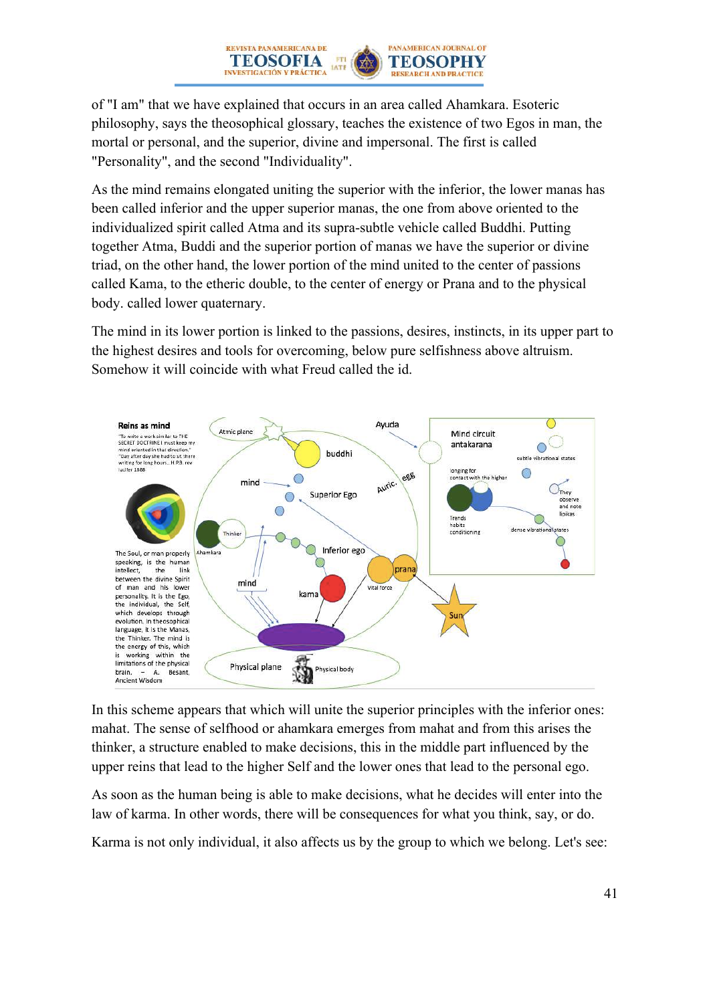of "I am" that we have explained that occurs in an area called Ahamkara. Esoteric philosophy, says the theosophical glossary, teaches the existence of two Egos in man, the mortal or personal, and the superior, divine and impersonal. The first is called "Personality", and the second "Individuality".

ETH

**PANAMERICAN JOURNAL OF** 

**TEOSOPHY** 

**RESEARCH AND PRACTICE** 

REVISTA PANAMERICANA DE

TEOSOFIA

**INVESTIGACIÓN Y PRÁCTICA** 

As the mind remains elongated uniting the superior with the inferior, the lower manas has been called inferior and the upper superior manas, the one from above oriented to the individualized spirit called Atma and its supra-subtle vehicle called Buddhi. Putting together Atma, Buddi and the superior portion of manas we have the superior or divine triad, on the other hand, the lower portion of the mind united to the center of passions called Kama, to the etheric double, to the center of energy or Prana and to the physical body. called lower quaternary.

The mind in its lower portion is linked to the passions, desires, instincts, in its upper part to the highest desires and tools for overcoming, below pure selfishness above altruism. Somehow it will coincide with what Freud called the id.



In this scheme appears that which will unite the superior principles with the inferior ones: mahat. The sense of selfhood or ahamkara emerges from mahat and from this arises the thinker, a structure enabled to make decisions, this in the middle part influenced by the upper reins that lead to the higher Self and the lower ones that lead to the personal ego.

As soon as the human being is able to make decisions, what he decides will enter into the law of karma. In other words, there will be consequences for what you think, say, or do.

Karma is not only individual, it also affects us by the group to which we belong. Let's see: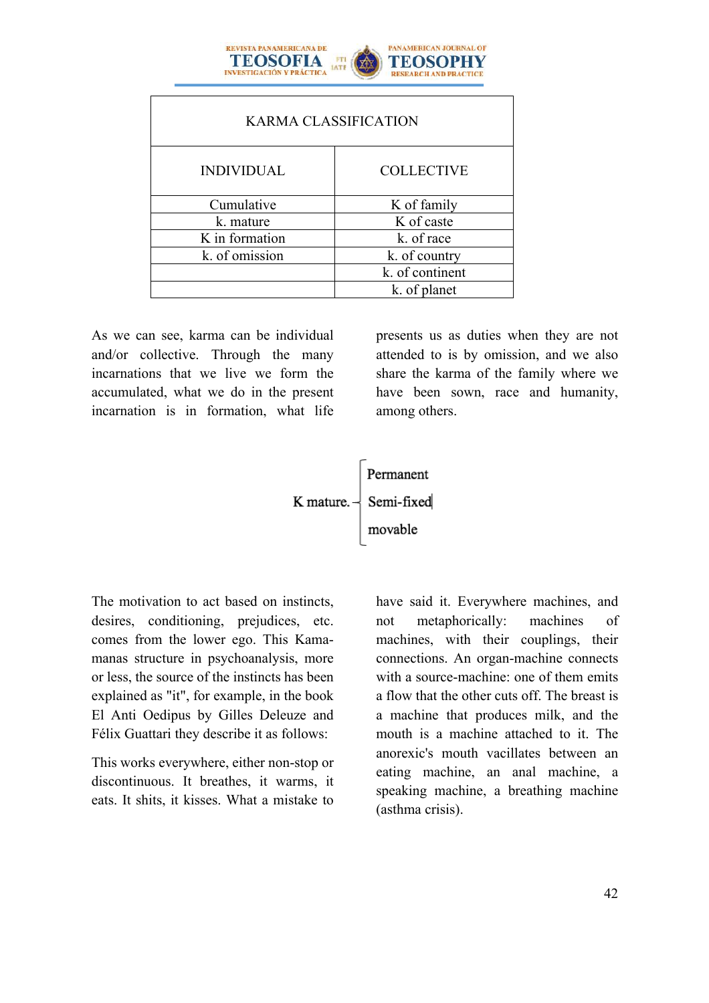

| <b>KARMA CLASSIFICATION</b> |                   |  |  |  |
|-----------------------------|-------------------|--|--|--|
| <b>INDIVIDUAL</b>           | <b>COLLECTIVE</b> |  |  |  |
| Cumulative                  | K of family       |  |  |  |
| k. mature                   | K of caste        |  |  |  |
| K in formation              | k. of race        |  |  |  |
| k. of omission              | k. of country     |  |  |  |
|                             | k. of continent   |  |  |  |
|                             | k. of planet      |  |  |  |

As we can see, karma can be individual and/or collective. Through the many incarnations that we live we form the accumulated, what we do in the present incarnation is in formation, what life presents us as duties when they are not attended to is by omission, and we also share the karma of the family where we have been sown, race and humanity, among others.



The motivation to act based on instincts, desires, conditioning, prejudices, etc. comes from the lower ego. This Kamamanas structure in psychoanalysis, more or less, the source of the instincts has been explained as "it", for example, in the book El Anti Oedipus by Gilles Deleuze and Félix Guattari they describe it as follows:

This works everywhere, either non-stop or discontinuous. It breathes, it warms, it eats. It shits, it kisses. What a mistake to have said it. Everywhere machines, and not metaphorically: machines of machines, with their couplings, their connections. An organ-machine connects with a source-machine: one of them emits a flow that the other cuts off. The breast is a machine that produces milk, and the mouth is a machine attached to it. The anorexic's mouth vacillates between an eating machine, an anal machine, a speaking machine, a breathing machine (asthma crisis).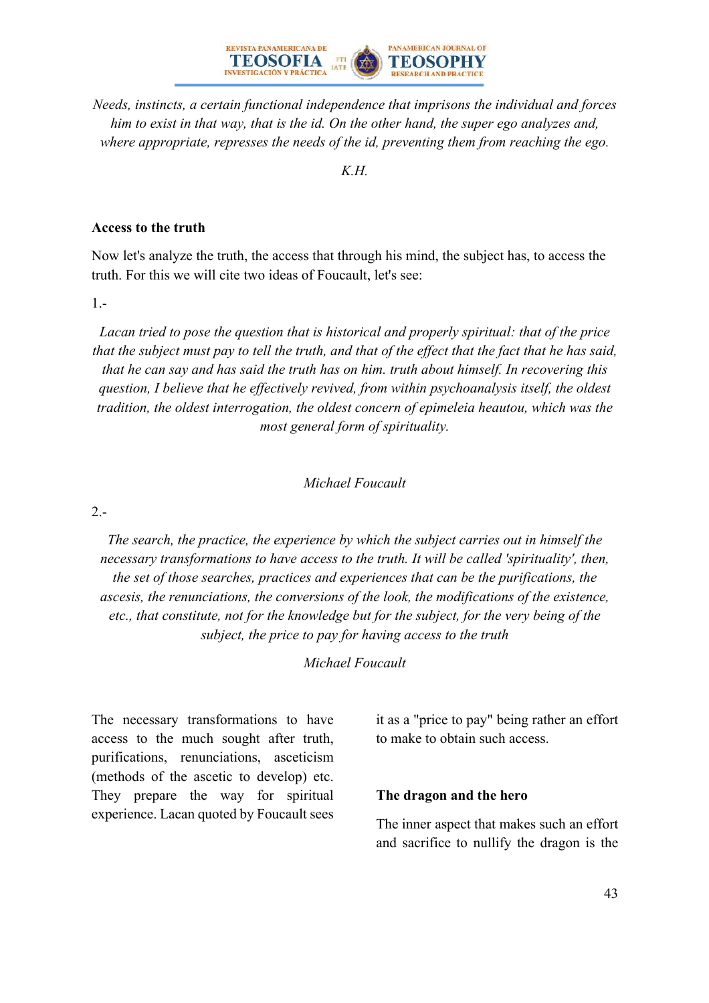

*Needs, instincts, a certain functional independence that imprisons the individual and forces him to exist in that way, that is the id. On the other hand, the super ego analyzes and, where appropriate, represses the needs of the id, preventing them from reaching the ego.*

*K.H.*

#### **Access to the truth**

Now let's analyze the truth, the access that through his mind, the subject has, to access the truth. For this we will cite two ideas of Foucault, let's see:

1.-

*Lacan tried to pose the question that is historical and properly spiritual: that of the price that the subject must pay to tell the truth, and that of the effect that the fact that he has said, that he can say and has said the truth has on him. truth about himself. In recovering this question, I believe that he effectively revived, from within psychoanalysis itself, the oldest tradition, the oldest interrogation, the oldest concern of epimeleia heautou, which was the most general form of spirituality.*

*Michael Foucault*

2.-

*The search, the practice, the experience by which the subject carries out in himself the necessary transformations to have access to the truth. It will be called 'spirituality', then, the set of those searches, practices and experiences that can be the purifications, the ascesis, the renunciations, the conversions of the look, the modifications of the existence, etc., that constitute, not for the knowledge but for the subject, for the very being of the subject, the price to pay for having access to the truth*

*Michael Foucault*

The necessary transformations to have access to the much sought after truth, purifications, renunciations, asceticism (methods of the ascetic to develop) etc. They prepare the way for spiritual experience. Lacan quoted by Foucault sees

it as a "price to pay" being rather an effort to make to obtain such access.

#### **The dragon and the hero**

The inner aspect that makes such an effort and sacrifice to nullify the dragon is the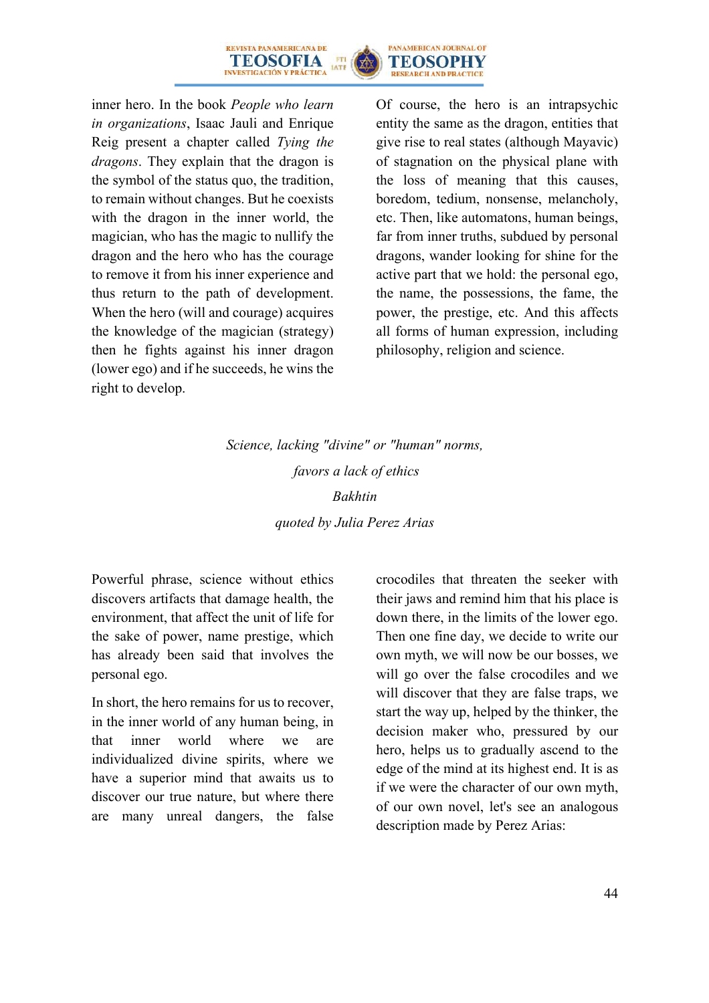



inner hero. In the book *People who learn in organizations*, Isaac Jauli and Enrique Reig present a chapter called *Tying the dragons*. They explain that the dragon is the symbol of the status quo, the tradition, to remain without changes. But he coexists with the dragon in the inner world, the magician, who has the magic to nullify the dragon and the hero who has the courage to remove it from his inner experience and thus return to the path of development. When the hero (will and courage) acquires the knowledge of the magician (strategy) then he fights against his inner dragon (lower ego) and if he succeeds, he wins the right to develop.

Of course, the hero is an intrapsychic entity the same as the dragon, entities that give rise to real states (although Mayavic) of stagnation on the physical plane with the loss of meaning that this causes, boredom, tedium, nonsense, melancholy, etc. Then, like automatons, human beings, far from inner truths, subdued by personal dragons, wander looking for shine for the active part that we hold: the personal ego, the name, the possessions, the fame, the power, the prestige, etc. And this affects all forms of human expression, including philosophy, religion and science.

*Science, lacking "divine" or "human" norms, favors a lack of ethics Bakhtin quoted by Julia Perez Arias*

Powerful phrase, science without ethics discovers artifacts that damage health, the environment, that affect the unit of life for the sake of power, name prestige, which has already been said that involves the personal ego.

In short, the hero remains for us to recover, in the inner world of any human being, in that inner world where we are individualized divine spirits, where we have a superior mind that awaits us to discover our true nature, but where there are many unreal dangers, the false crocodiles that threaten the seeker with their jaws and remind him that his place is down there, in the limits of the lower ego. Then one fine day, we decide to write our own myth, we will now be our bosses, we will go over the false crocodiles and we will discover that they are false traps, we start the way up, helped by the thinker, the decision maker who, pressured by our hero, helps us to gradually ascend to the edge of the mind at its highest end. It is as if we were the character of our own myth, of our own novel, let's see an analogous description made by Perez Arias: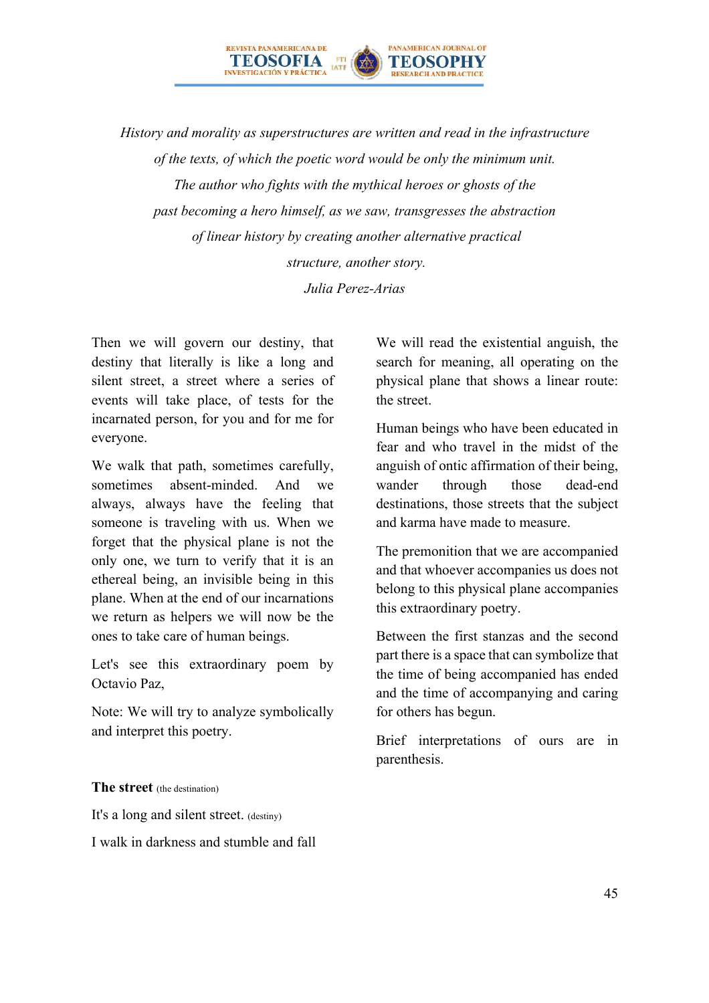*History and morality as superstructures are written and read in the infrastructure of the texts, of which the poetic word would be only the minimum unit. The author who fights with the mythical heroes or ghosts of the past becoming a hero himself, as we saw, transgresses the abstraction of linear history by creating another alternative practical structure, another story. Julia Perez-Arias*

**PANAMERICAN JOURNAL OF** 

TEOSOPHY

**RESEARCH AND PRACTI** 

REVISTA PANAMERICANA DE

**INVESTIGACIÓN V PRÁCTICA** 

**TEOSOFIA** 

Then we will govern our destiny, that destiny that literally is like a long and silent street, a street where a series of events will take place, of tests for the incarnated person, for you and for me for everyone.

We walk that path, sometimes carefully, sometimes absent-minded. And we always, always have the feeling that someone is traveling with us. When we forget that the physical plane is not the only one, we turn to verify that it is an ethereal being, an invisible being in this plane. When at the end of our incarnations we return as helpers we will now be the ones to take care of human beings.

Let's see this extraordinary poem by Octavio Paz,

Note: We will try to analyze symbolically and interpret this poetry.

We will read the existential anguish, the search for meaning, all operating on the physical plane that shows a linear route: the street.

Human beings who have been educated in fear and who travel in the midst of the anguish of ontic affirmation of their being, wander through those dead-end destinations, those streets that the subject and karma have made to measure.

The premonition that we are accompanied and that whoever accompanies us does not belong to this physical plane accompanies this extraordinary poetry.

Between the first stanzas and the second part there is a space that can symbolize that the time of being accompanied has ended and the time of accompanying and caring for others has begun.

Brief interpretations of ours are in parenthesis.

**The street** (the destination)

It's a long and silent street. (destiny)

I walk in darkness and stumble and fall